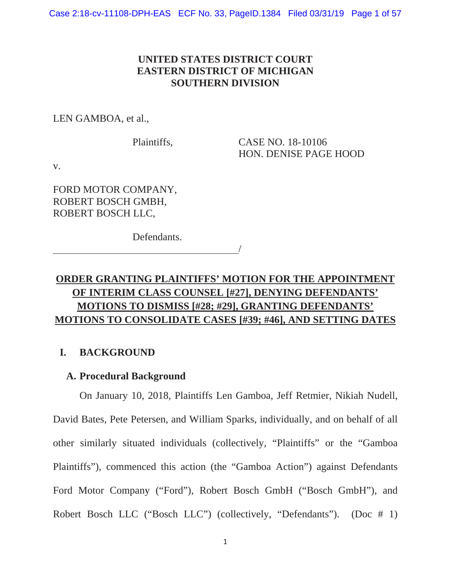# **UNITED STATES DISTRICT COURT EASTERN DISTRICT OF MICHIGAN SOUTHERN DIVISION**

LEN GAMBOA, et al.,

Plaintiffs, CASE NO. 18-10106 HON. DENISE PAGE HOOD

v.

FORD MOTOR COMPANY, ROBERT BOSCH GMBH, ROBERT BOSCH LLC,

Defendants.

# **ORDER GRANTING PLAINTIFFS' MOTION FOR THE APPOINTMENT OF INTERIM CLASS COUNSEL [#27], DENYING DEFENDANTS' MOTIONS TO DISMISS [#28; #29], GRANTING DEFENDANTS' MOTIONS TO CONSOLIDATE CASES [#39; #46], AND SETTING DATES**

 $\overline{\phantom{a}}$ 

# **I. BACKGROUND**

# **A. Procedural Background**

On January 10, 2018, Plaintiffs Len Gamboa, Jeff Retmier, Nikiah Nudell, David Bates, Pete Petersen, and William Sparks, individually, and on behalf of all other similarly situated individuals (collectively, "Plaintiffs" or the "Gamboa Plaintiffs"), commenced this action (the "Gamboa Action") against Defendants Ford Motor Company ("Ford"), Robert Bosch GmbH ("Bosch GmbH"), and Robert Bosch LLC ("Bosch LLC") (collectively, "Defendants"). (Doc # 1)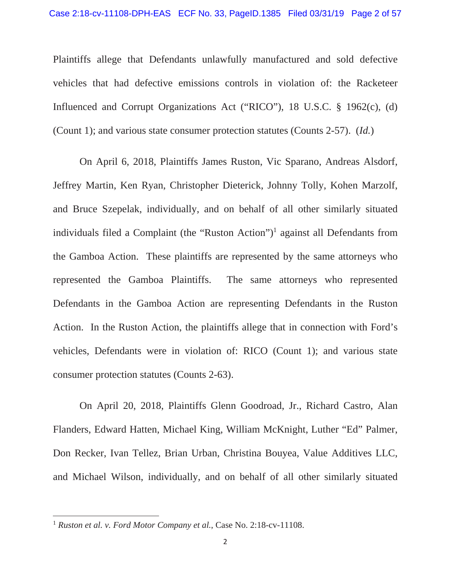Plaintiffs allege that Defendants unlawfully manufactured and sold defective vehicles that had defective emissions controls in violation of: the Racketeer Influenced and Corrupt Organizations Act ("RICO"), 18 U.S.C. § 1962(c), (d) (Count 1); and various state consumer protection statutes (Counts 2-57). (*Id.*)

On April 6, 2018, Plaintiffs James Ruston, Vic Sparano, Andreas Alsdorf, Jeffrey Martin, Ken Ryan, Christopher Dieterick, Johnny Tolly, Kohen Marzolf, and Bruce Szepelak, individually, and on behalf of all other similarly situated individuals filed a Complaint (the "Ruston Action")<sup>1</sup> against all Defendants from the Gamboa Action. These plaintiffs are represented by the same attorneys who represented the Gamboa Plaintiffs. The same attorneys who represented Defendants in the Gamboa Action are representing Defendants in the Ruston Action. In the Ruston Action, the plaintiffs allege that in connection with Ford's vehicles, Defendants were in violation of: RICO (Count 1); and various state consumer protection statutes (Counts 2-63).

On April 20, 2018, Plaintiffs Glenn Goodroad, Jr., Richard Castro, Alan Flanders, Edward Hatten, Michael King, William McKnight, Luther "Ed" Palmer, Don Recker, Ivan Tellez, Brian Urban, Christina Bouyea, Value Additives LLC, and Michael Wilson, individually, and on behalf of all other similarly situated

<sup>1</sup> *Ruston et al. v. Ford Motor Company et al.*, Case No. 2:18-cv-11108.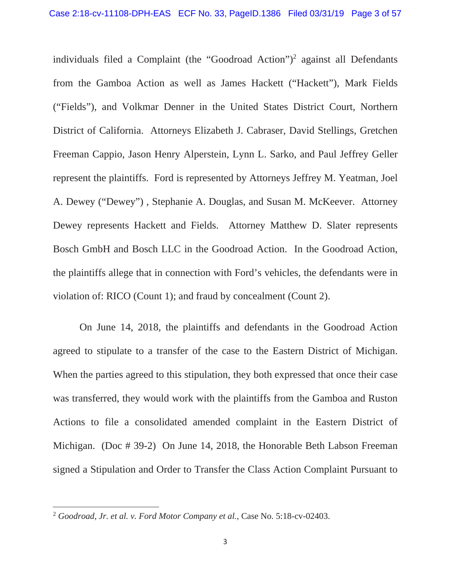individuals filed a Complaint (the "Goodroad Action")<sup>2</sup> against all Defendants from the Gamboa Action as well as James Hackett ("Hackett"), Mark Fields ("Fields"), and Volkmar Denner in the United States District Court, Northern District of California. Attorneys Elizabeth J. Cabraser, David Stellings, Gretchen Freeman Cappio, Jason Henry Alperstein, Lynn L. Sarko, and Paul Jeffrey Geller represent the plaintiffs. Ford is represented by Attorneys Jeffrey M. Yeatman, Joel A. Dewey ("Dewey") , Stephanie A. Douglas, and Susan M. McKeever. Attorney Dewey represents Hackett and Fields. Attorney Matthew D. Slater represents Bosch GmbH and Bosch LLC in the Goodroad Action. In the Goodroad Action, the plaintiffs allege that in connection with Ford's vehicles, the defendants were in violation of: RICO (Count 1); and fraud by concealment (Count 2).

On June 14, 2018, the plaintiffs and defendants in the Goodroad Action agreed to stipulate to a transfer of the case to the Eastern District of Michigan. When the parties agreed to this stipulation, they both expressed that once their case was transferred, they would work with the plaintiffs from the Gamboa and Ruston Actions to file a consolidated amended complaint in the Eastern District of Michigan. (Doc # 39-2) On June 14, 2018, the Honorable Beth Labson Freeman signed a Stipulation and Order to Transfer the Class Action Complaint Pursuant to

<sup>2</sup> *Goodroad, Jr. et al. v. Ford Motor Company et al.*, Case No. 5:18-cv-02403.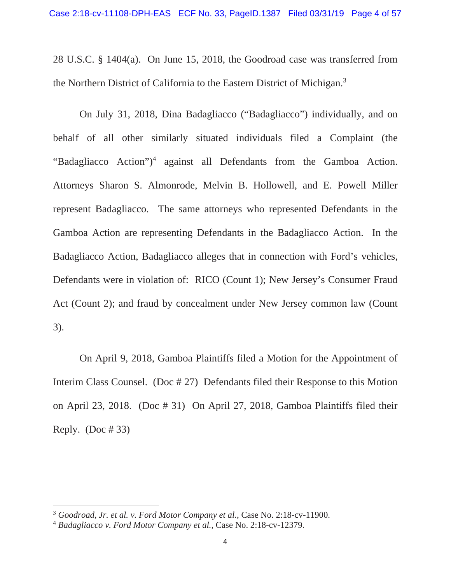28 U.S.C. § 1404(a). On June 15, 2018, the Goodroad case was transferred from the Northern District of California to the Eastern District of Michigan.<sup>3</sup>

On July 31, 2018, Dina Badagliacco ("Badagliacco") individually, and on behalf of all other similarly situated individuals filed a Complaint (the "Badagliacco Action")<sup>4</sup> against all Defendants from the Gamboa Action. Attorneys Sharon S. Almonrode, Melvin B. Hollowell, and E. Powell Miller represent Badagliacco. The same attorneys who represented Defendants in the Gamboa Action are representing Defendants in the Badagliacco Action. In the Badagliacco Action, Badagliacco alleges that in connection with Ford's vehicles, Defendants were in violation of: RICO (Count 1); New Jersey's Consumer Fraud Act (Count 2); and fraud by concealment under New Jersey common law (Count 3).

On April 9, 2018, Gamboa Plaintiffs filed a Motion for the Appointment of Interim Class Counsel. (Doc # 27) Defendants filed their Response to this Motion on April 23, 2018. (Doc # 31) On April 27, 2018, Gamboa Plaintiffs filed their Reply.  $(Doc # 33)$ 

<sup>3</sup> *Goodroad, Jr. et al. v. Ford Motor Company et al.*, Case No. 2:18-cv-11900.

<sup>4</sup> *Badagliacco v. Ford Motor Company et al.*, Case No. 2:18-cv-12379.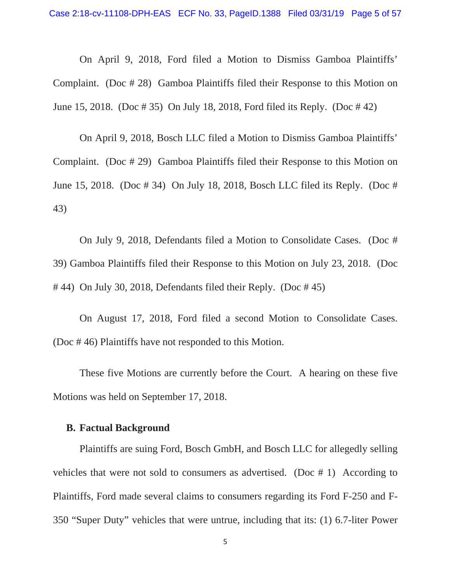On April 9, 2018, Ford filed a Motion to Dismiss Gamboa Plaintiffs' Complaint. (Doc # 28) Gamboa Plaintiffs filed their Response to this Motion on June 15, 2018. (Doc # 35) On July 18, 2018, Ford filed its Reply. (Doc # 42)

On April 9, 2018, Bosch LLC filed a Motion to Dismiss Gamboa Plaintiffs' Complaint. (Doc # 29) Gamboa Plaintiffs filed their Response to this Motion on June 15, 2018. (Doc # 34) On July 18, 2018, Bosch LLC filed its Reply. (Doc # 43)

On July 9, 2018, Defendants filed a Motion to Consolidate Cases. (Doc # 39) Gamboa Plaintiffs filed their Response to this Motion on July 23, 2018. (Doc  $\#$  44) On July 30, 2018, Defendants filed their Reply. (Doc  $\#$  45)

On August 17, 2018, Ford filed a second Motion to Consolidate Cases. (Doc # 46) Plaintiffs have not responded to this Motion.

These five Motions are currently before the Court. A hearing on these five Motions was held on September 17, 2018.

# **B. Factual Background**

Plaintiffs are suing Ford, Bosch GmbH, and Bosch LLC for allegedly selling vehicles that were not sold to consumers as advertised. (Doc # 1) According to Plaintiffs, Ford made several claims to consumers regarding its Ford F-250 and F-350 "Super Duty" vehicles that were untrue, including that its: (1) 6.7-liter Power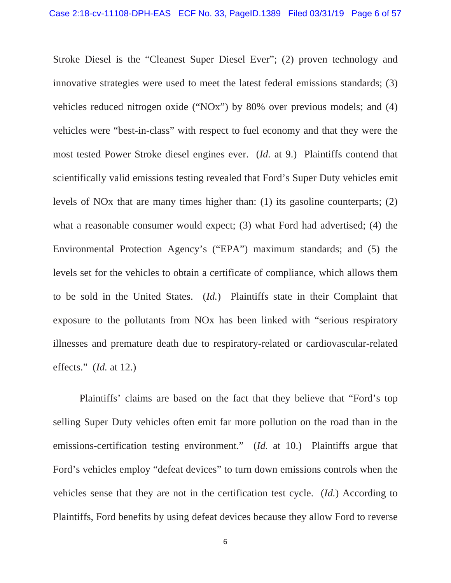Stroke Diesel is the "Cleanest Super Diesel Ever"; (2) proven technology and innovative strategies were used to meet the latest federal emissions standards; (3) vehicles reduced nitrogen oxide ("NOx") by 80% over previous models; and (4) vehicles were "best-in-class" with respect to fuel economy and that they were the most tested Power Stroke diesel engines ever. (*Id.* at 9.) Plaintiffs contend that scientifically valid emissions testing revealed that Ford's Super Duty vehicles emit levels of NOx that are many times higher than: (1) its gasoline counterparts; (2) what a reasonable consumer would expect; (3) what Ford had advertised; (4) the Environmental Protection Agency's ("EPA") maximum standards; and (5) the levels set for the vehicles to obtain a certificate of compliance, which allows them to be sold in the United States. (*Id.*) Plaintiffs state in their Complaint that exposure to the pollutants from NOx has been linked with "serious respiratory illnesses and premature death due to respiratory-related or cardiovascular-related effects." (*Id.* at 12.)

Plaintiffs' claims are based on the fact that they believe that "Ford's top selling Super Duty vehicles often emit far more pollution on the road than in the emissions-certification testing environment." (*Id.* at 10.) Plaintiffs argue that Ford's vehicles employ "defeat devices" to turn down emissions controls when the vehicles sense that they are not in the certification test cycle. (*Id.*) According to Plaintiffs, Ford benefits by using defeat devices because they allow Ford to reverse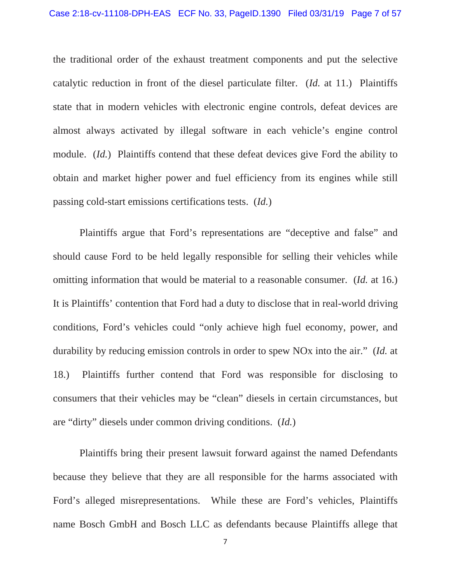the traditional order of the exhaust treatment components and put the selective catalytic reduction in front of the diesel particulate filter. (*Id.* at 11.) Plaintiffs state that in modern vehicles with electronic engine controls, defeat devices are almost always activated by illegal software in each vehicle's engine control module. (*Id.*) Plaintiffs contend that these defeat devices give Ford the ability to obtain and market higher power and fuel efficiency from its engines while still passing cold-start emissions certifications tests. (*Id.*)

Plaintiffs argue that Ford's representations are "deceptive and false" and should cause Ford to be held legally responsible for selling their vehicles while omitting information that would be material to a reasonable consumer. (*Id.* at 16.) It is Plaintiffs' contention that Ford had a duty to disclose that in real-world driving conditions, Ford's vehicles could "only achieve high fuel economy, power, and durability by reducing emission controls in order to spew NOx into the air." (*Id.* at 18.) Plaintiffs further contend that Ford was responsible for disclosing to consumers that their vehicles may be "clean" diesels in certain circumstances, but are "dirty" diesels under common driving conditions. (*Id.*)

 Plaintiffs bring their present lawsuit forward against the named Defendants because they believe that they are all responsible for the harms associated with Ford's alleged misrepresentations. While these are Ford's vehicles, Plaintiffs name Bosch GmbH and Bosch LLC as defendants because Plaintiffs allege that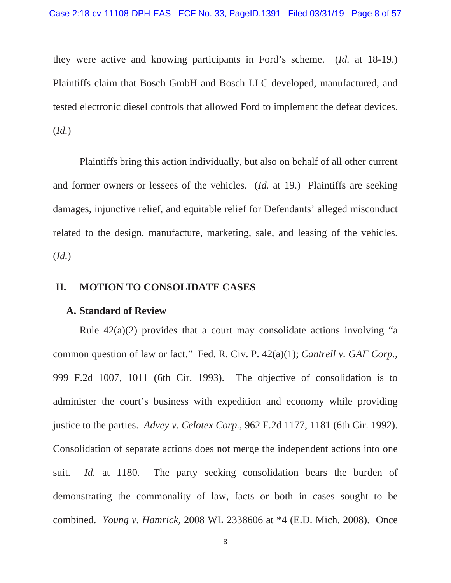they were active and knowing participants in Ford's scheme. (*Id.* at 18-19.) Plaintiffs claim that Bosch GmbH and Bosch LLC developed, manufactured, and tested electronic diesel controls that allowed Ford to implement the defeat devices. (*Id.*)

 Plaintiffs bring this action individually, but also on behalf of all other current and former owners or lessees of the vehicles. (*Id.* at 19.) Plaintiffs are seeking damages, injunctive relief, and equitable relief for Defendants' alleged misconduct related to the design, manufacture, marketing, sale, and leasing of the vehicles. (*Id.*)

### **II. MOTION TO CONSOLIDATE CASES**

#### **A. Standard of Review**

Rule  $42(a)(2)$  provides that a court may consolidate actions involving "a common question of law or fact." Fed. R. Civ. P. 42(a)(1); *Cantrell v. GAF Corp.,* 999 F.2d 1007, 1011 (6th Cir. 1993). The objective of consolidation is to administer the court's business with expedition and economy while providing justice to the parties. *Advey v. Celotex Corp.,* 962 F.2d 1177, 1181 (6th Cir. 1992). Consolidation of separate actions does not merge the independent actions into one suit. *Id.* at 1180. The party seeking consolidation bears the burden of demonstrating the commonality of law, facts or both in cases sought to be combined. *Young v. Hamrick,* 2008 WL 2338606 at \*4 (E.D. Mich. 2008). Once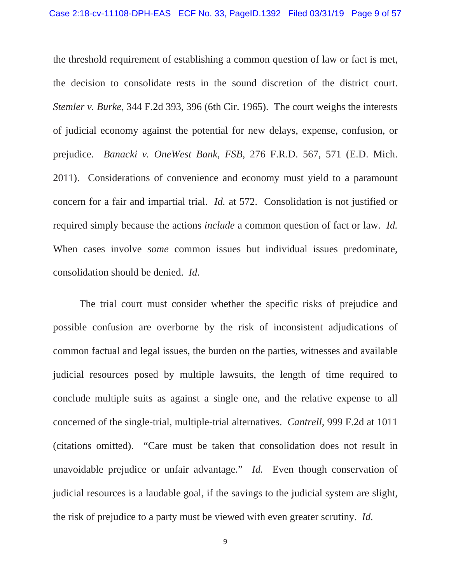the threshold requirement of establishing a common question of law or fact is met, the decision to consolidate rests in the sound discretion of the district court. *Stemler v. Burke,* 344 F.2d 393, 396 (6th Cir. 1965). The court weighs the interests of judicial economy against the potential for new delays, expense, confusion, or prejudice. *Banacki v. OneWest Bank, FSB,* 276 F.R.D. 567, 571 (E.D. Mich. 2011). Considerations of convenience and economy must yield to a paramount concern for a fair and impartial trial. *Id.* at 572. Consolidation is not justified or required simply because the actions *include* a common question of fact or law. *Id.* When cases involve *some* common issues but individual issues predominate, consolidation should be denied. *Id.*

The trial court must consider whether the specific risks of prejudice and possible confusion are overborne by the risk of inconsistent adjudications of common factual and legal issues, the burden on the parties, witnesses and available judicial resources posed by multiple lawsuits, the length of time required to conclude multiple suits as against a single one, and the relative expense to all concerned of the single-trial, multiple-trial alternatives. *Cantrell,* 999 F.2d at 1011 (citations omitted). "Care must be taken that consolidation does not result in unavoidable prejudice or unfair advantage." *Id.* Even though conservation of judicial resources is a laudable goal, if the savings to the judicial system are slight, the risk of prejudice to a party must be viewed with even greater scrutiny. *Id.*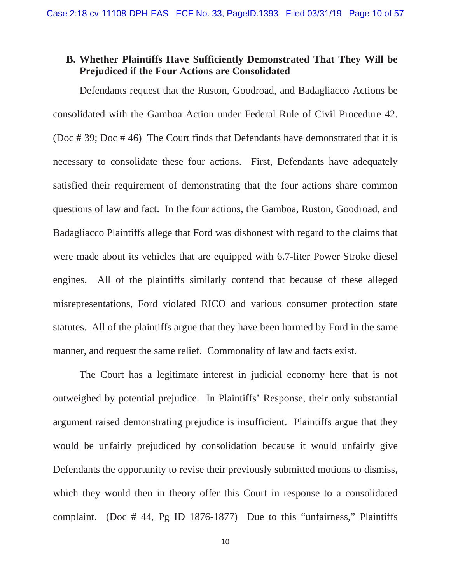# **B. Whether Plaintiffs Have Sufficiently Demonstrated That They Will be Prejudiced if the Four Actions are Consolidated**

 Defendants request that the Ruston, Goodroad, and Badagliacco Actions be consolidated with the Gamboa Action under Federal Rule of Civil Procedure 42. (Doc # 39; Doc # 46) The Court finds that Defendants have demonstrated that it is necessary to consolidate these four actions. First, Defendants have adequately satisfied their requirement of demonstrating that the four actions share common questions of law and fact. In the four actions, the Gamboa, Ruston, Goodroad, and Badagliacco Plaintiffs allege that Ford was dishonest with regard to the claims that were made about its vehicles that are equipped with 6.7-liter Power Stroke diesel engines. All of the plaintiffs similarly contend that because of these alleged misrepresentations, Ford violated RICO and various consumer protection state statutes. All of the plaintiffs argue that they have been harmed by Ford in the same manner, and request the same relief. Commonality of law and facts exist.

The Court has a legitimate interest in judicial economy here that is not outweighed by potential prejudice. In Plaintiffs' Response, their only substantial argument raised demonstrating prejudice is insufficient. Plaintiffs argue that they would be unfairly prejudiced by consolidation because it would unfairly give Defendants the opportunity to revise their previously submitted motions to dismiss, which they would then in theory offer this Court in response to a consolidated complaint. (Doc # 44, Pg ID 1876-1877) Due to this "unfairness," Plaintiffs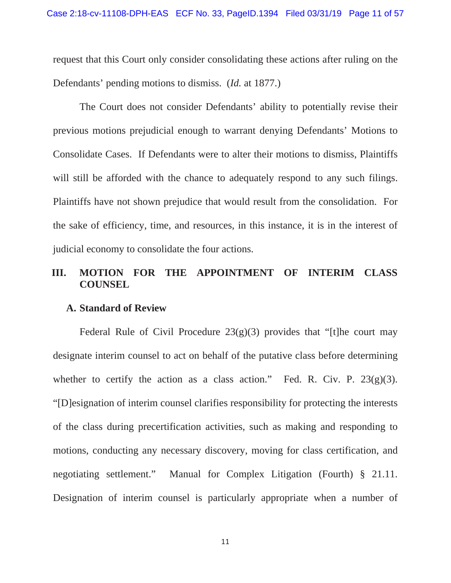request that this Court only consider consolidating these actions after ruling on the Defendants' pending motions to dismiss. (*Id.* at 1877.)

The Court does not consider Defendants' ability to potentially revise their previous motions prejudicial enough to warrant denying Defendants' Motions to Consolidate Cases. If Defendants were to alter their motions to dismiss, Plaintiffs will still be afforded with the chance to adequately respond to any such filings. Plaintiffs have not shown prejudice that would result from the consolidation. For the sake of efficiency, time, and resources, in this instance, it is in the interest of judicial economy to consolidate the four actions.

# **III. MOTION FOR THE APPOINTMENT OF INTERIM CLASS COUNSEL**

#### **A. Standard of Review**

Federal Rule of Civil Procedure  $23(g)(3)$  provides that "[t]he court may designate interim counsel to act on behalf of the putative class before determining whether to certify the action as a class action." Fed. R. Civ. P.  $23(g)(3)$ . "[D]esignation of interim counsel clarifies responsibility for protecting the interests of the class during precertification activities, such as making and responding to motions, conducting any necessary discovery, moving for class certification, and negotiating settlement." Manual for Complex Litigation (Fourth) § 21.11. Designation of interim counsel is particularly appropriate when a number of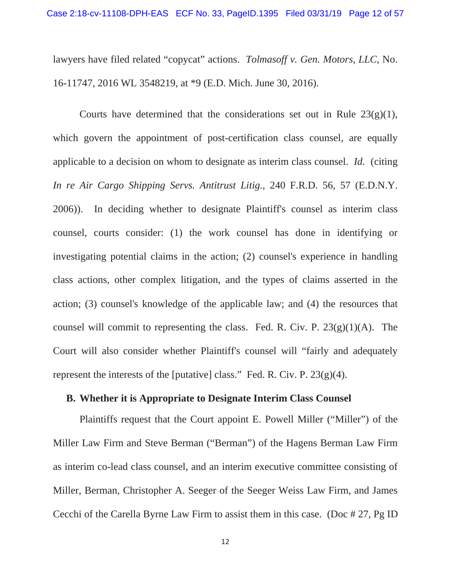lawyers have filed related "copycat" actions. *Tolmasoff v. Gen. Motors, LLC*, No. 16-11747, 2016 WL 3548219, at \*9 (E.D. Mich. June 30, 2016).

Courts have determined that the considerations set out in Rule  $23(g)(1)$ , which govern the appointment of post-certification class counsel, are equally applicable to a decision on whom to designate as interim class counsel. *Id.* (citing *In re Air Cargo Shipping Servs. Antitrust Litig.*, 240 F.R.D. 56, 57 (E.D.N.Y. 2006)). In deciding whether to designate Plaintiff's counsel as interim class counsel, courts consider: (1) the work counsel has done in identifying or investigating potential claims in the action; (2) counsel's experience in handling class actions, other complex litigation, and the types of claims asserted in the action; (3) counsel's knowledge of the applicable law; and (4) the resources that counsel will commit to representing the class. Fed. R. Civ. P.  $23(g)(1)(A)$ . The Court will also consider whether Plaintiff's counsel will "fairly and adequately represent the interests of the [putative] class." Fed. R. Civ. P.  $23(g)(4)$ .

### **B. Whether it is Appropriate to Designate Interim Class Counsel**

Plaintiffs request that the Court appoint E. Powell Miller ("Miller") of the Miller Law Firm and Steve Berman ("Berman") of the Hagens Berman Law Firm as interim co-lead class counsel, and an interim executive committee consisting of Miller, Berman, Christopher A. Seeger of the Seeger Weiss Law Firm, and James Cecchi of the Carella Byrne Law Firm to assist them in this case. (Doc # 27, Pg ID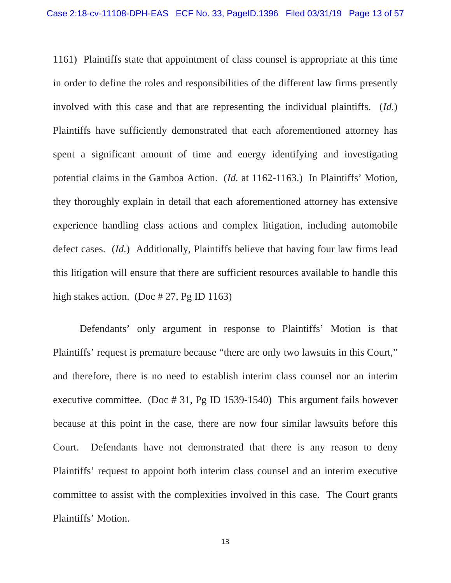1161) Plaintiffs state that appointment of class counsel is appropriate at this time in order to define the roles and responsibilities of the different law firms presently involved with this case and that are representing the individual plaintiffs. (*Id.*) Plaintiffs have sufficiently demonstrated that each aforementioned attorney has spent a significant amount of time and energy identifying and investigating potential claims in the Gamboa Action. (*Id.* at 1162-1163.) In Plaintiffs' Motion, they thoroughly explain in detail that each aforementioned attorney has extensive experience handling class actions and complex litigation, including automobile defect cases. (*Id.*) Additionally, Plaintiffs believe that having four law firms lead this litigation will ensure that there are sufficient resources available to handle this high stakes action. (Doc  $\# 27$ , Pg ID 1163)

Defendants' only argument in response to Plaintiffs' Motion is that Plaintiffs' request is premature because "there are only two lawsuits in this Court," and therefore, there is no need to establish interim class counsel nor an interim executive committee. (Doc # 31, Pg ID 1539-1540) This argument fails however because at this point in the case, there are now four similar lawsuits before this Court. Defendants have not demonstrated that there is any reason to deny Plaintiffs' request to appoint both interim class counsel and an interim executive committee to assist with the complexities involved in this case. The Court grants Plaintiffs' Motion.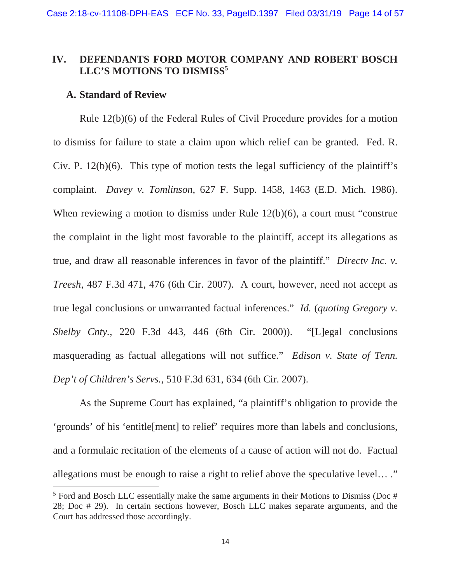# **IV. DEFENDANTS FORD MOTOR COMPANY AND ROBERT BOSCH**  LLC'S MOTIONS TO DISMISS<sup>5</sup>

### **A. Standard of Review**

Rule 12(b)(6) of the Federal Rules of Civil Procedure provides for a motion to dismiss for failure to state a claim upon which relief can be granted. Fed. R. Civ. P.  $12(b)(6)$ . This type of motion tests the legal sufficiency of the plaintiff's complaint. *Davey v. Tomlinson*, 627 F. Supp. 1458, 1463 (E.D. Mich. 1986). When reviewing a motion to dismiss under Rule 12(b)(6), a court must "construe the complaint in the light most favorable to the plaintiff, accept its allegations as true, and draw all reasonable inferences in favor of the plaintiff." *Directv Inc. v. Treesh*, 487 F.3d 471, 476 (6th Cir. 2007). A court, however, need not accept as true legal conclusions or unwarranted factual inferences." *Id.* (*quoting Gregory v. Shelby Cnty.*, 220 F.3d 443, 446 (6th Cir. 2000)). "[L]egal conclusions masquerading as factual allegations will not suffice." *Edison v. State of Tenn. Dep't of Children's Servs.*, 510 F.3d 631, 634 (6th Cir. 2007).

As the Supreme Court has explained, "a plaintiff's obligation to provide the 'grounds' of his 'entitle[ment] to relief' requires more than labels and conclusions, and a formulaic recitation of the elements of a cause of action will not do. Factual allegations must be enough to raise a right to relief above the speculative level… ."

 $5$  Ford and Bosch LLC essentially make the same arguments in their Motions to Dismiss (Doc # 28; Doc # 29). In certain sections however, Bosch LLC makes separate arguments, and the Court has addressed those accordingly.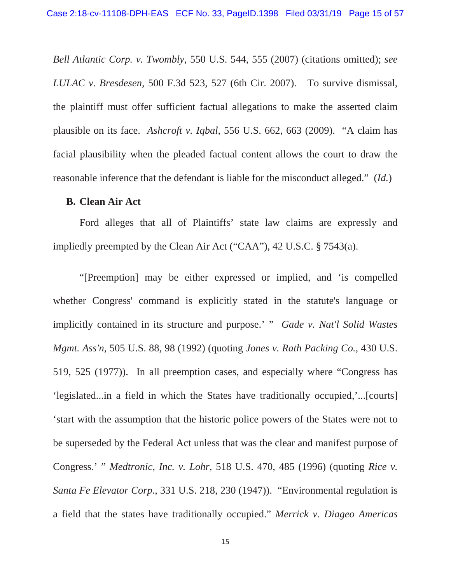*Bell Atlantic Corp. v. Twombly*, 550 U.S. 544, 555 (2007) (citations omitted); *see LULAC v. Bresdesen*, 500 F.3d 523, 527 (6th Cir. 2007). To survive dismissal, the plaintiff must offer sufficient factual allegations to make the asserted claim plausible on its face. *Ashcroft v. Iqbal*, 556 U.S. 662, 663 (2009). "A claim has facial plausibility when the pleaded factual content allows the court to draw the reasonable inference that the defendant is liable for the misconduct alleged." (*Id.*)

#### **B. Clean Air Act**

Ford alleges that all of Plaintiffs' state law claims are expressly and impliedly preempted by the Clean Air Act ("CAA"), 42 U.S.C. § 7543(a).

"[Preemption] may be either expressed or implied, and 'is compelled whether Congress' command is explicitly stated in the statute's language or implicitly contained in its structure and purpose.' " *Gade v. Nat'l Solid Wastes Mgmt. Ass'n*, 505 U.S. 88, 98 (1992) (quoting *Jones v. Rath Packing Co.*, 430 U.S. 519, 525 (1977)). In all preemption cases, and especially where "Congress has 'legislated...in a field in which the States have traditionally occupied,'...[courts] 'start with the assumption that the historic police powers of the States were not to be superseded by the Federal Act unless that was the clear and manifest purpose of Congress.' " *Medtronic, Inc. v. Lohr*, 518 U.S. 470, 485 (1996) (quoting *Rice v. Santa Fe Elevator Corp.*, 331 U.S. 218, 230 (1947)). "Environmental regulation is a field that the states have traditionally occupied." *Merrick v. Diageo Americas*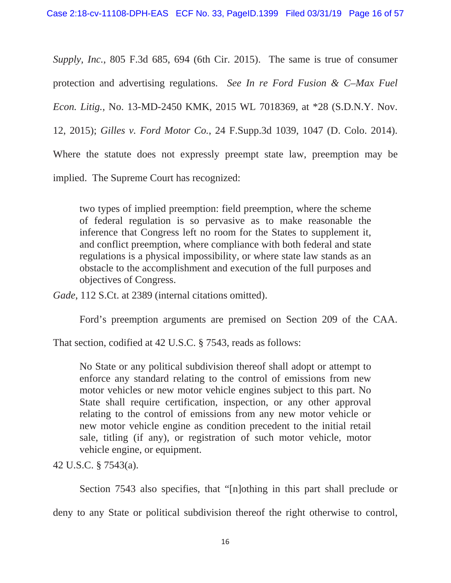*Supply, Inc.*, 805 F.3d 685, 694 (6th Cir. 2015). The same is true of consumer protection and advertising regulations. *See In re Ford Fusion & C–Max Fuel Econ. Litig.*, No. 13-MD-2450 KMK, 2015 WL 7018369, at \*28 (S.D.N.Y. Nov. 12, 2015); *Gilles v. Ford Motor Co.*, 24 F.Supp.3d 1039, 1047 (D. Colo. 2014). Where the statute does not expressly preempt state law, preemption may be implied. The Supreme Court has recognized:

two types of implied preemption: field preemption, where the scheme of federal regulation is so pervasive as to make reasonable the inference that Congress left no room for the States to supplement it, and conflict preemption, where compliance with both federal and state regulations is a physical impossibility, or where state law stands as an obstacle to the accomplishment and execution of the full purposes and objectives of Congress.

*Gade*, 112 S.Ct. at 2389 (internal citations omitted).

Ford's preemption arguments are premised on Section 209 of the CAA.

That section, codified at 42 U.S.C. § 7543, reads as follows:

No State or any political subdivision thereof shall adopt or attempt to enforce any standard relating to the control of emissions from new motor vehicles or new motor vehicle engines subject to this part. No State shall require certification, inspection, or any other approval relating to the control of emissions from any new motor vehicle or new motor vehicle engine as condition precedent to the initial retail sale, titling (if any), or registration of such motor vehicle, motor vehicle engine, or equipment.

42 U.S.C. § 7543(a).

Section 7543 also specifies, that "[n]othing in this part shall preclude or

deny to any State or political subdivision thereof the right otherwise to control,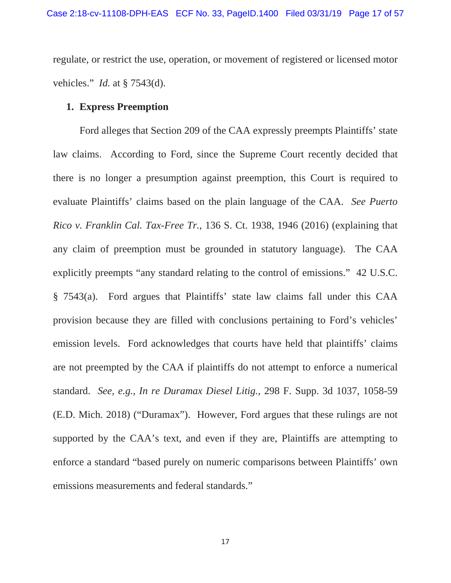regulate, or restrict the use, operation, or movement of registered or licensed motor vehicles." *Id.* at § 7543(d).

### **1. Express Preemption**

Ford alleges that Section 209 of the CAA expressly preempts Plaintiffs' state law claims. According to Ford, since the Supreme Court recently decided that there is no longer a presumption against preemption, this Court is required to evaluate Plaintiffs' claims based on the plain language of the CAA. *See Puerto Rico v. Franklin Cal. Tax-Free Tr.*, 136 S. Ct. 1938, 1946 (2016) (explaining that any claim of preemption must be grounded in statutory language). The CAA explicitly preempts "any standard relating to the control of emissions." 42 U.S.C. § 7543(a). Ford argues that Plaintiffs' state law claims fall under this CAA provision because they are filled with conclusions pertaining to Ford's vehicles' emission levels. Ford acknowledges that courts have held that plaintiffs' claims are not preempted by the CAA if plaintiffs do not attempt to enforce a numerical standard. *See, e.g.*, *In re Duramax Diesel Litig.,* 298 F. Supp. 3d 1037, 1058-59 (E.D. Mich. 2018) ("Duramax"). However, Ford argues that these rulings are not supported by the CAA's text, and even if they are, Plaintiffs are attempting to enforce a standard "based purely on numeric comparisons between Plaintiffs' own emissions measurements and federal standards."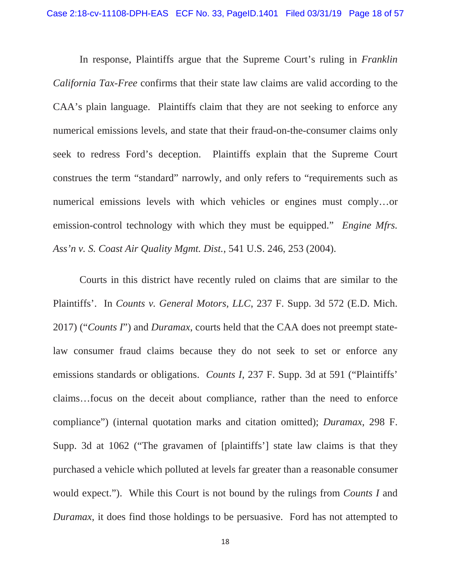In response, Plaintiffs argue that the Supreme Court's ruling in *Franklin California Tax-Free* confirms that their state law claims are valid according to the CAA's plain language. Plaintiffs claim that they are not seeking to enforce any numerical emissions levels, and state that their fraud-on-the-consumer claims only seek to redress Ford's deception. Plaintiffs explain that the Supreme Court construes the term "standard" narrowly, and only refers to "requirements such as numerical emissions levels with which vehicles or engines must comply…or emission-control technology with which they must be equipped." *Engine Mfrs. Ass'n v. S. Coast Air Quality Mgmt. Dist.*, 541 U.S. 246, 253 (2004).

Courts in this district have recently ruled on claims that are similar to the Plaintiffs'. In *Counts v. General Motors, LLC*, 237 F. Supp. 3d 572 (E.D. Mich. 2017) ("*Counts I*") and *Duramax*, courts held that the CAA does not preempt statelaw consumer fraud claims because they do not seek to set or enforce any emissions standards or obligations. *Counts I*, 237 F. Supp. 3d at 591 ("Plaintiffs' claims…focus on the deceit about compliance, rather than the need to enforce compliance") (internal quotation marks and citation omitted); *Duramax*, 298 F. Supp. 3d at 1062 ("The gravamen of [plaintiffs'] state law claims is that they purchased a vehicle which polluted at levels far greater than a reasonable consumer would expect."). While this Court is not bound by the rulings from *Counts I* and *Duramax*, it does find those holdings to be persuasive. Ford has not attempted to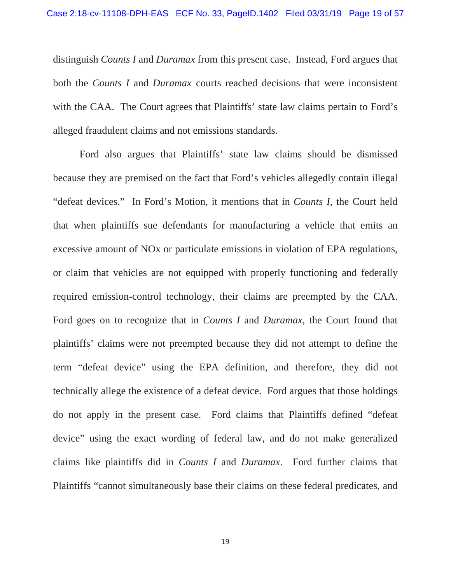distinguish *Counts I* and *Duramax* from this present case. Instead, Ford argues that both the *Counts I* and *Duramax* courts reached decisions that were inconsistent with the CAA. The Court agrees that Plaintiffs' state law claims pertain to Ford's alleged fraudulent claims and not emissions standards.

Ford also argues that Plaintiffs' state law claims should be dismissed because they are premised on the fact that Ford's vehicles allegedly contain illegal "defeat devices." In Ford's Motion, it mentions that in *Counts I*, the Court held that when plaintiffs sue defendants for manufacturing a vehicle that emits an excessive amount of NOx or particulate emissions in violation of EPA regulations, or claim that vehicles are not equipped with properly functioning and federally required emission-control technology, their claims are preempted by the CAA. Ford goes on to recognize that in *Counts I* and *Duramax*, the Court found that plaintiffs' claims were not preempted because they did not attempt to define the term "defeat device" using the EPA definition, and therefore, they did not technically allege the existence of a defeat device. Ford argues that those holdings do not apply in the present case. Ford claims that Plaintiffs defined "defeat device" using the exact wording of federal law, and do not make generalized claims like plaintiffs did in *Counts I* and *Duramax*. Ford further claims that Plaintiffs "cannot simultaneously base their claims on these federal predicates, and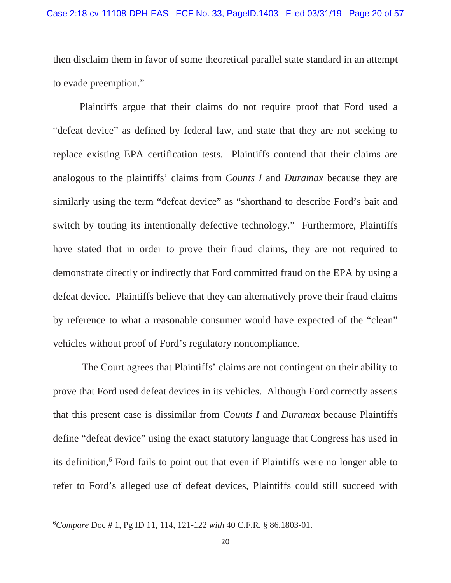then disclaim them in favor of some theoretical parallel state standard in an attempt to evade preemption."

Plaintiffs argue that their claims do not require proof that Ford used a "defeat device" as defined by federal law, and state that they are not seeking to replace existing EPA certification tests. Plaintiffs contend that their claims are analogous to the plaintiffs' claims from *Counts I* and *Duramax* because they are similarly using the term "defeat device" as "shorthand to describe Ford's bait and switch by touting its intentionally defective technology." Furthermore, Plaintiffs have stated that in order to prove their fraud claims, they are not required to demonstrate directly or indirectly that Ford committed fraud on the EPA by using a defeat device. Plaintiffs believe that they can alternatively prove their fraud claims by reference to what a reasonable consumer would have expected of the "clean" vehicles without proof of Ford's regulatory noncompliance.

The Court agrees that Plaintiffs' claims are not contingent on their ability to prove that Ford used defeat devices in its vehicles. Although Ford correctly asserts that this present case is dissimilar from *Counts I* and *Duramax* because Plaintiffs define "defeat device" using the exact statutory language that Congress has used in its definition,<sup>6</sup> Ford fails to point out that even if Plaintiffs were no longer able to refer to Ford's alleged use of defeat devices, Plaintiffs could still succeed with

<sup>6</sup> *Compare* Doc # 1, Pg ID 11, 114, 121-122 *with* 40 C.F.R. § 86.1803-01.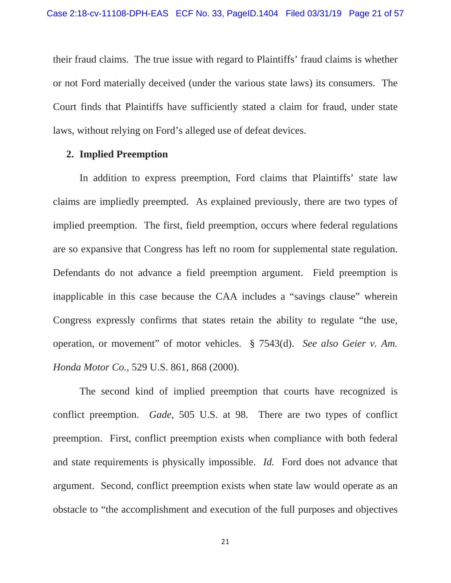their fraud claims. The true issue with regard to Plaintiffs' fraud claims is whether or not Ford materially deceived (under the various state laws) its consumers. The Court finds that Plaintiffs have sufficiently stated a claim for fraud, under state laws, without relying on Ford's alleged use of defeat devices.

#### **2. Implied Preemption**

In addition to express preemption, Ford claims that Plaintiffs' state law claims are impliedly preempted. As explained previously, there are two types of implied preemption. The first, field preemption, occurs where federal regulations are so expansive that Congress has left no room for supplemental state regulation. Defendants do not advance a field preemption argument. Field preemption is inapplicable in this case because the CAA includes a "savings clause" wherein Congress expressly confirms that states retain the ability to regulate "the use, operation, or movement" of motor vehicles. § 7543(d). *See also Geier v. Am. Honda Motor Co.*, 529 U.S. 861, 868 (2000).

The second kind of implied preemption that courts have recognized is conflict preemption. *Gade*, 505 U.S. at 98. There are two types of conflict preemption. First, conflict preemption exists when compliance with both federal and state requirements is physically impossible. *Id.* Ford does not advance that argument. Second, conflict preemption exists when state law would operate as an obstacle to "the accomplishment and execution of the full purposes and objectives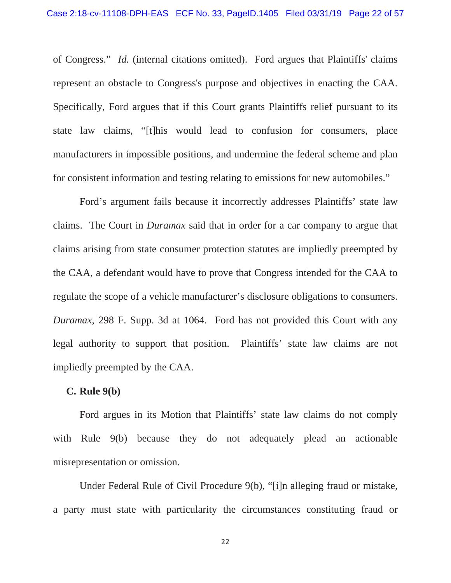of Congress." *Id.* (internal citations omitted). Ford argues that Plaintiffs' claims represent an obstacle to Congress's purpose and objectives in enacting the CAA. Specifically, Ford argues that if this Court grants Plaintiffs relief pursuant to its state law claims, "[t]his would lead to confusion for consumers, place manufacturers in impossible positions, and undermine the federal scheme and plan for consistent information and testing relating to emissions for new automobiles."

Ford's argument fails because it incorrectly addresses Plaintiffs' state law claims. The Court in *Duramax* said that in order for a car company to argue that claims arising from state consumer protection statutes are impliedly preempted by the CAA, a defendant would have to prove that Congress intended for the CAA to regulate the scope of a vehicle manufacturer's disclosure obligations to consumers. *Duramax*, 298 F. Supp. 3d at 1064. Ford has not provided this Court with any legal authority to support that position. Plaintiffs' state law claims are not impliedly preempted by the CAA.

#### **C. Rule 9(b)**

Ford argues in its Motion that Plaintiffs' state law claims do not comply with Rule 9(b) because they do not adequately plead an actionable misrepresentation or omission.

Under Federal Rule of Civil Procedure 9(b), "[i]n alleging fraud or mistake, a party must state with particularity the circumstances constituting fraud or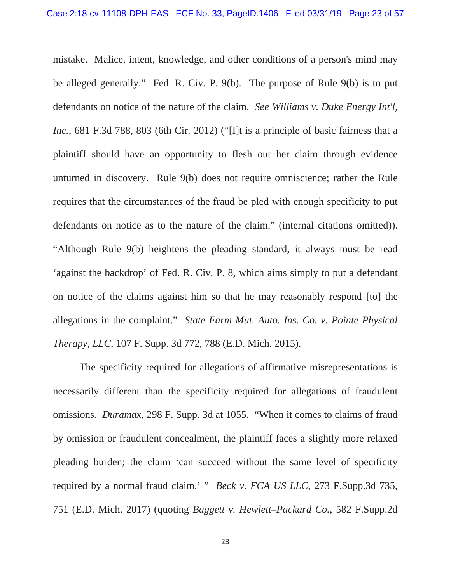mistake. Malice, intent, knowledge, and other conditions of a person's mind may be alleged generally." Fed. R. Civ. P. 9(b). The purpose of Rule 9(b) is to put defendants on notice of the nature of the claim. *See Williams v. Duke Energy Int'l, Inc.*, 681 F.3d 788, 803 (6th Cir. 2012) ("Ill is a principle of basic fairness that a plaintiff should have an opportunity to flesh out her claim through evidence unturned in discovery. Rule 9(b) does not require omniscience; rather the Rule requires that the circumstances of the fraud be pled with enough specificity to put defendants on notice as to the nature of the claim." (internal citations omitted)). "Although Rule 9(b) heightens the pleading standard, it always must be read 'against the backdrop' of Fed. R. Civ. P. 8, which aims simply to put a defendant on notice of the claims against him so that he may reasonably respond [to] the allegations in the complaint." *State Farm Mut. Auto. Ins. Co. v. Pointe Physical Therapy, LLC*, 107 F. Supp. 3d 772, 788 (E.D. Mich. 2015).

The specificity required for allegations of affirmative misrepresentations is necessarily different than the specificity required for allegations of fraudulent omissions. *Duramax*, 298 F. Supp. 3d at 1055. "When it comes to claims of fraud by omission or fraudulent concealment, the plaintiff faces a slightly more relaxed pleading burden; the claim 'can succeed without the same level of specificity required by a normal fraud claim.' " *Beck v. FCA US LLC*, 273 F.Supp.3d 735, 751 (E.D. Mich. 2017) (quoting *Baggett v. Hewlett–Packard Co.*, 582 F.Supp.2d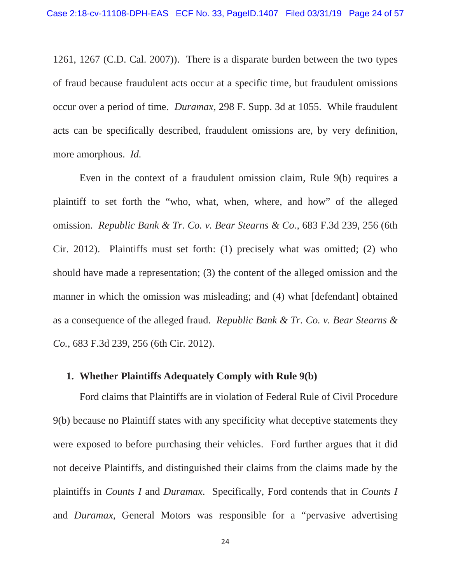1261, 1267 (C.D. Cal. 2007)). There is a disparate burden between the two types of fraud because fraudulent acts occur at a specific time, but fraudulent omissions occur over a period of time. *Duramax*, 298 F. Supp. 3d at 1055. While fraudulent acts can be specifically described, fraudulent omissions are, by very definition, more amorphous. *Id.*

Even in the context of a fraudulent omission claim, Rule 9(b) requires a plaintiff to set forth the "who, what, when, where, and how" of the alleged omission. *Republic Bank & Tr. Co. v. Bear Stearns & Co.*, 683 F.3d 239, 256 (6th Cir. 2012). Plaintiffs must set forth: (1) precisely what was omitted; (2) who should have made a representation; (3) the content of the alleged omission and the manner in which the omission was misleading; and (4) what [defendant] obtained as a consequence of the alleged fraud. *Republic Bank & Tr. Co. v. Bear Stearns & Co.*, 683 F.3d 239, 256 (6th Cir. 2012).

### **1. Whether Plaintiffs Adequately Comply with Rule 9(b)**

Ford claims that Plaintiffs are in violation of Federal Rule of Civil Procedure 9(b) because no Plaintiff states with any specificity what deceptive statements they were exposed to before purchasing their vehicles. Ford further argues that it did not deceive Plaintiffs, and distinguished their claims from the claims made by the plaintiffs in *Counts I* and *Duramax*. Specifically, Ford contends that in *Counts I* and *Duramax*, General Motors was responsible for a "pervasive advertising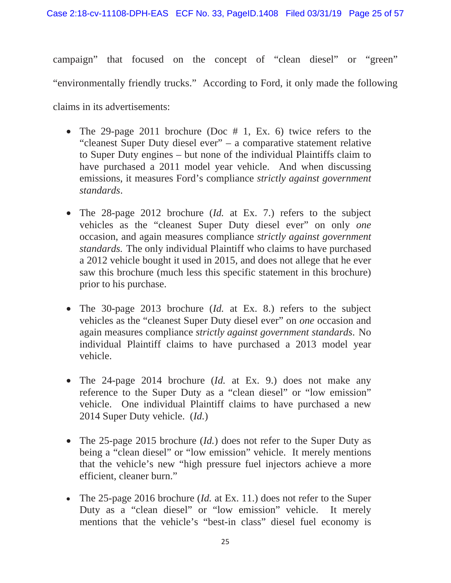campaign" that focused on the concept of "clean diesel" or "green" "environmentally friendly trucks." According to Ford, it only made the following claims in its advertisements:

- The 29-page 2011 brochure (Doc  $# 1$ , Ex. 6) twice refers to the "cleanest Super Duty diesel ever" – a comparative statement relative to Super Duty engines – but none of the individual Plaintiffs claim to have purchased a 2011 model year vehicle. And when discussing emissions, it measures Ford's compliance *strictly against government standards*.
- The 28-page 2012 brochure (*Id.* at Ex. 7.) refers to the subject vehicles as the "cleanest Super Duty diesel ever" on only *one*  occasion, and again measures compliance *strictly against government standards.* The only individual Plaintiff who claims to have purchased a 2012 vehicle bought it used in 2015, and does not allege that he ever saw this brochure (much less this specific statement in this brochure) prior to his purchase.
- The 30-page 2013 brochure (*Id.* at Ex. 8.) refers to the subject vehicles as the "cleanest Super Duty diesel ever" on *one* occasion and again measures compliance *strictly against government standards*. No individual Plaintiff claims to have purchased a 2013 model year vehicle.
- The 24-page 2014 brochure (*Id.* at Ex. 9.) does not make any reference to the Super Duty as a "clean diesel" or "low emission" vehicle. One individual Plaintiff claims to have purchased a new 2014 Super Duty vehicle. (*Id.*)
- The 25-page 2015 brochure *(Id.)* does not refer to the Super Duty as being a "clean diesel" or "low emission" vehicle. It merely mentions that the vehicle's new "high pressure fuel injectors achieve a more efficient, cleaner burn."
- The 25-page 2016 brochure (*Id.* at Ex. 11.) does not refer to the Super Duty as a "clean diesel" or "low emission" vehicle. It merely mentions that the vehicle's "best-in class" diesel fuel economy is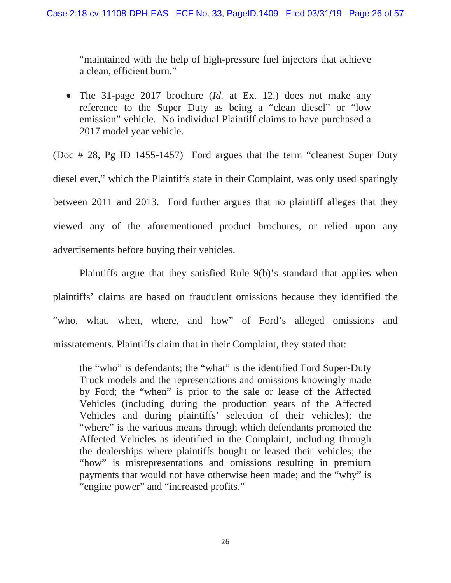"maintained with the help of high-pressure fuel injectors that achieve a clean, efficient burn."

• The 31-page 2017 brochure (*Id.* at Ex. 12.) does not make any reference to the Super Duty as being a "clean diesel" or "low emission" vehicle. No individual Plaintiff claims to have purchased a 2017 model year vehicle.

(Doc # 28, Pg ID 1455-1457) Ford argues that the term "cleanest Super Duty diesel ever," which the Plaintiffs state in their Complaint, was only used sparingly between 2011 and 2013. Ford further argues that no plaintiff alleges that they viewed any of the aforementioned product brochures, or relied upon any advertisements before buying their vehicles.

 Plaintiffs argue that they satisfied Rule 9(b)'s standard that applies when plaintiffs' claims are based on fraudulent omissions because they identified the "who, what, when, where, and how" of Ford's alleged omissions and misstatements. Plaintiffs claim that in their Complaint, they stated that:

the "who" is defendants; the "what" is the identified Ford Super-Duty Truck models and the representations and omissions knowingly made by Ford; the "when" is prior to the sale or lease of the Affected Vehicles (including during the production years of the Affected Vehicles and during plaintiffs' selection of their vehicles); the "where" is the various means through which defendants promoted the Affected Vehicles as identified in the Complaint, including through the dealerships where plaintiffs bought or leased their vehicles; the "how" is misrepresentations and omissions resulting in premium payments that would not have otherwise been made; and the "why" is "engine power" and "increased profits."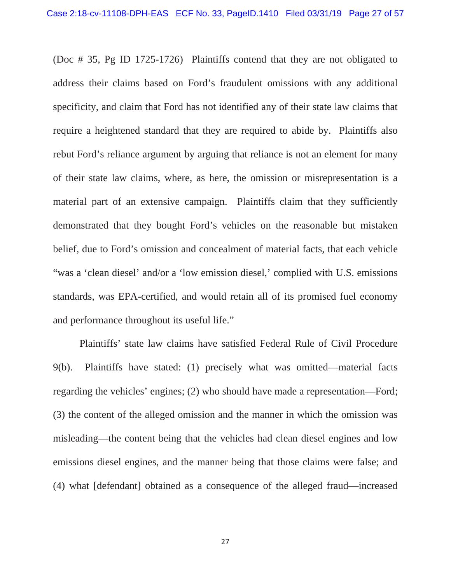(Doc # 35, Pg ID 1725-1726) Plaintiffs contend that they are not obligated to address their claims based on Ford's fraudulent omissions with any additional specificity, and claim that Ford has not identified any of their state law claims that require a heightened standard that they are required to abide by. Plaintiffs also rebut Ford's reliance argument by arguing that reliance is not an element for many of their state law claims, where, as here, the omission or misrepresentation is a material part of an extensive campaign. Plaintiffs claim that they sufficiently demonstrated that they bought Ford's vehicles on the reasonable but mistaken belief, due to Ford's omission and concealment of material facts, that each vehicle "was a 'clean diesel' and/or a 'low emission diesel,' complied with U.S. emissions standards, was EPA-certified, and would retain all of its promised fuel economy and performance throughout its useful life."

 Plaintiffs' state law claims have satisfied Federal Rule of Civil Procedure 9(b). Plaintiffs have stated: (1) precisely what was omitted—material facts regarding the vehicles' engines; (2) who should have made a representation—Ford; (3) the content of the alleged omission and the manner in which the omission was misleading—the content being that the vehicles had clean diesel engines and low emissions diesel engines, and the manner being that those claims were false; and (4) what [defendant] obtained as a consequence of the alleged fraud—increased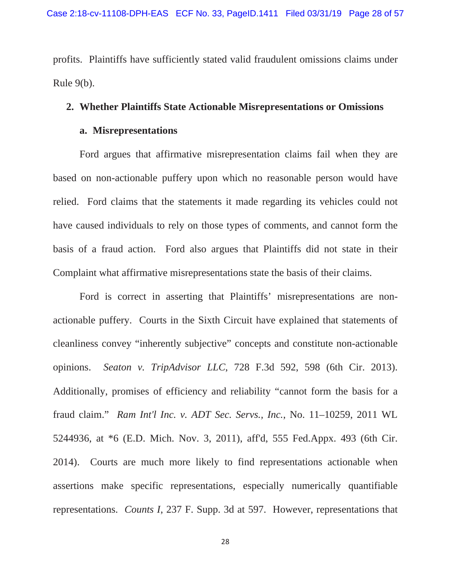profits. Plaintiffs have sufficiently stated valid fraudulent omissions claims under Rule 9(b).

#### **2. Whether Plaintiffs State Actionable Misrepresentations or Omissions**

#### **a. Misrepresentations**

Ford argues that affirmative misrepresentation claims fail when they are based on non-actionable puffery upon which no reasonable person would have relied. Ford claims that the statements it made regarding its vehicles could not have caused individuals to rely on those types of comments, and cannot form the basis of a fraud action. Ford also argues that Plaintiffs did not state in their Complaint what affirmative misrepresentations state the basis of their claims.

Ford is correct in asserting that Plaintiffs' misrepresentations are nonactionable puffery. Courts in the Sixth Circuit have explained that statements of cleanliness convey "inherently subjective" concepts and constitute non-actionable opinions. *Seaton v. TripAdvisor LLC*, 728 F.3d 592, 598 (6th Cir. 2013). Additionally, promises of efficiency and reliability "cannot form the basis for a fraud claim." *Ram Int'l Inc. v. ADT Sec. Servs., Inc.*, No. 11–10259, 2011 WL 5244936, at \*6 (E.D. Mich. Nov. 3, 2011), aff'd, 555 Fed.Appx. 493 (6th Cir. 2014). Courts are much more likely to find representations actionable when assertions make specific representations, especially numerically quantifiable representations. *Counts I*, 237 F. Supp. 3d at 597. However, representations that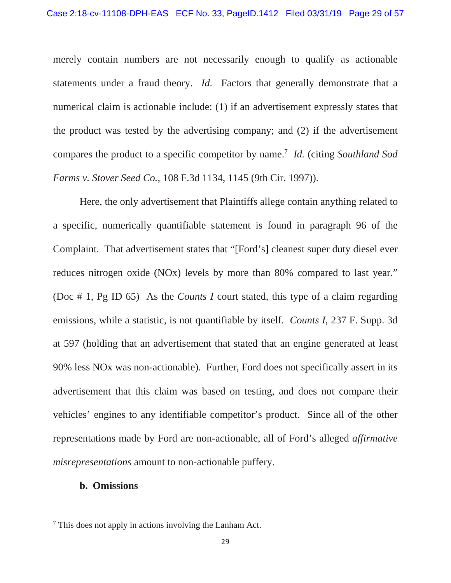merely contain numbers are not necessarily enough to qualify as actionable statements under a fraud theory. *Id.* Factors that generally demonstrate that a numerical claim is actionable include: (1) if an advertisement expressly states that the product was tested by the advertising company; and (2) if the advertisement compares the product to a specific competitor by name.7 *Id.* (citing *Southland Sod Farms v. Stover Seed Co.,* 108 F.3d 1134, 1145 (9th Cir. 1997)).

Here, the only advertisement that Plaintiffs allege contain anything related to a specific, numerically quantifiable statement is found in paragraph 96 of the Complaint. That advertisement states that "[Ford's] cleanest super duty diesel ever reduces nitrogen oxide (NOx) levels by more than 80% compared to last year." (Doc # 1, Pg ID 65) As the *Counts I* court stated, this type of a claim regarding emissions, while a statistic, is not quantifiable by itself. *Counts I*, 237 F. Supp. 3d at 597 (holding that an advertisement that stated that an engine generated at least 90% less NOx was non-actionable). Further, Ford does not specifically assert in its advertisement that this claim was based on testing, and does not compare their vehicles' engines to any identifiable competitor's product. Since all of the other representations made by Ford are non-actionable, all of Ford's alleged *affirmative misrepresentations* amount to non-actionable puffery.

# **b. Omissions**

<sup>&</sup>lt;sup>7</sup> This does not apply in actions involving the Lanham Act.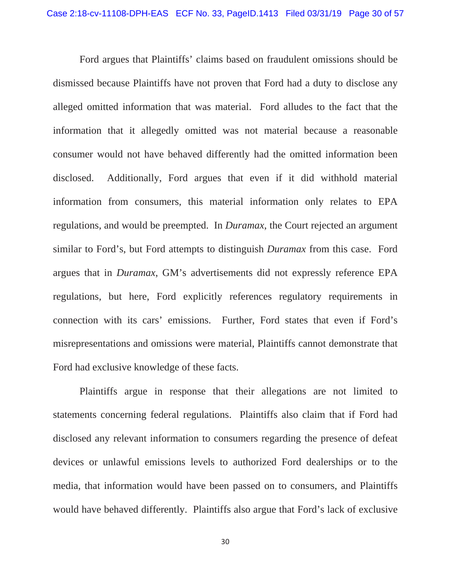Ford argues that Plaintiffs' claims based on fraudulent omissions should be dismissed because Plaintiffs have not proven that Ford had a duty to disclose any alleged omitted information that was material. Ford alludes to the fact that the information that it allegedly omitted was not material because a reasonable consumer would not have behaved differently had the omitted information been disclosed. Additionally, Ford argues that even if it did withhold material information from consumers, this material information only relates to EPA regulations, and would be preempted. In *Duramax*, the Court rejected an argument similar to Ford's, but Ford attempts to distinguish *Duramax* from this case. Ford argues that in *Duramax*, GM's advertisements did not expressly reference EPA regulations, but here, Ford explicitly references regulatory requirements in connection with its cars' emissions. Further, Ford states that even if Ford's misrepresentations and omissions were material, Plaintiffs cannot demonstrate that Ford had exclusive knowledge of these facts.

Plaintiffs argue in response that their allegations are not limited to statements concerning federal regulations. Plaintiffs also claim that if Ford had disclosed any relevant information to consumers regarding the presence of defeat devices or unlawful emissions levels to authorized Ford dealerships or to the media, that information would have been passed on to consumers, and Plaintiffs would have behaved differently. Plaintiffs also argue that Ford's lack of exclusive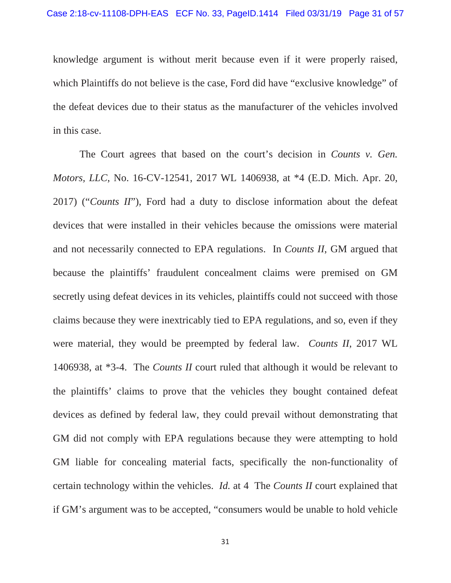knowledge argument is without merit because even if it were properly raised, which Plaintiffs do not believe is the case, Ford did have "exclusive knowledge" of the defeat devices due to their status as the manufacturer of the vehicles involved in this case.

The Court agrees that based on the court's decision in *Counts v. Gen. Motors, LLC*, No. 16-CV-12541, 2017 WL 1406938, at \*4 (E.D. Mich. Apr. 20, 2017) ("*Counts II*"), Ford had a duty to disclose information about the defeat devices that were installed in their vehicles because the omissions were material and not necessarily connected to EPA regulations. In *Counts II*, GM argued that because the plaintiffs' fraudulent concealment claims were premised on GM secretly using defeat devices in its vehicles, plaintiffs could not succeed with those claims because they were inextricably tied to EPA regulations, and so, even if they were material, they would be preempted by federal law. *Counts II*, 2017 WL 1406938, at \*3-4. The *Counts II* court ruled that although it would be relevant to the plaintiffs' claims to prove that the vehicles they bought contained defeat devices as defined by federal law, they could prevail without demonstrating that GM did not comply with EPA regulations because they were attempting to hold GM liable for concealing material facts, specifically the non-functionality of certain technology within the vehicles. *Id.* at 4 The *Counts II* court explained that if GM's argument was to be accepted, "consumers would be unable to hold vehicle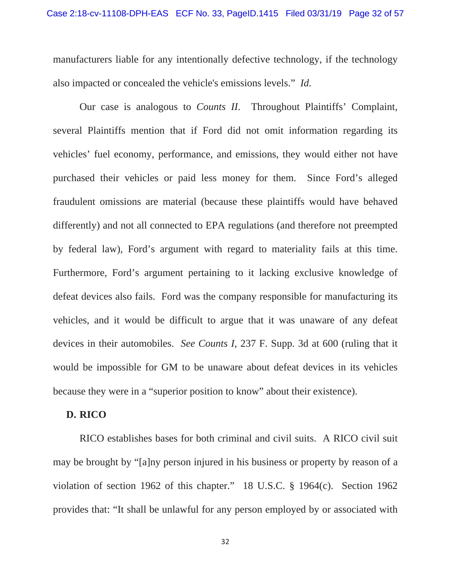manufacturers liable for any intentionally defective technology, if the technology also impacted or concealed the vehicle's emissions levels." *Id.*

Our case is analogous to *Counts II*. Throughout Plaintiffs' Complaint, several Plaintiffs mention that if Ford did not omit information regarding its vehicles' fuel economy, performance, and emissions, they would either not have purchased their vehicles or paid less money for them. Since Ford's alleged fraudulent omissions are material (because these plaintiffs would have behaved differently) and not all connected to EPA regulations (and therefore not preempted by federal law), Ford's argument with regard to materiality fails at this time. Furthermore, Ford's argument pertaining to it lacking exclusive knowledge of defeat devices also fails. Ford was the company responsible for manufacturing its vehicles, and it would be difficult to argue that it was unaware of any defeat devices in their automobiles. *See Counts I*, 237 F. Supp. 3d at 600 (ruling that it would be impossible for GM to be unaware about defeat devices in its vehicles because they were in a "superior position to know" about their existence).

# **D. RICO**

RICO establishes bases for both criminal and civil suits. A RICO civil suit may be brought by "[a]ny person injured in his business or property by reason of a violation of section 1962 of this chapter." 18 U.S.C. § 1964(c). Section 1962 provides that: "It shall be unlawful for any person employed by or associated with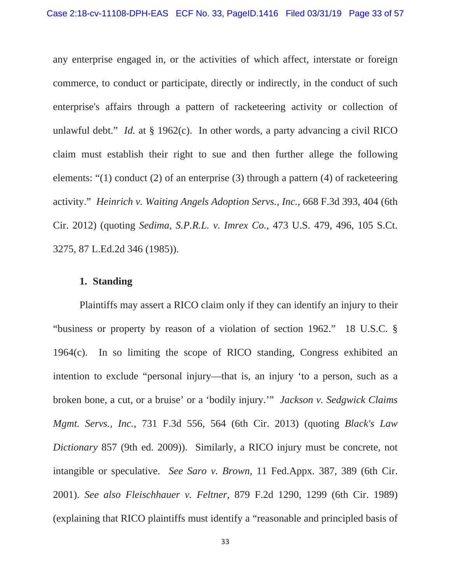any enterprise engaged in, or the activities of which affect, interstate or foreign commerce, to conduct or participate, directly or indirectly, in the conduct of such enterprise's affairs through a pattern of racketeering activity or collection of unlawful debt." *Id.* at § 1962(c). In other words, a party advancing a civil RICO claim must establish their right to sue and then further allege the following elements: "(1) conduct (2) of an enterprise (3) through a pattern (4) of racketeering activity." *Heinrich v. Waiting Angels Adoption Servs., Inc.*, 668 F.3d 393, 404 (6th Cir. 2012) (quoting *Sedima, S.P.R.L. v. Imrex Co.*, 473 U.S. 479, 496, 105 S.Ct. 3275, 87 L.Ed.2d 346 (1985)).

# **1. Standing**

Plaintiffs may assert a RICO claim only if they can identify an injury to their "business or property by reason of a violation of section 1962." 18 U.S.C. § 1964(c). In so limiting the scope of RICO standing, Congress exhibited an intention to exclude "personal injury—that is, an injury 'to a person, such as a broken bone, a cut, or a bruise' or a 'bodily injury.'" *Jackson v. Sedgwick Claims Mgmt. Servs., Inc.*, 731 F.3d 556, 564 (6th Cir. 2013) (quoting *Black's Law Dictionary* 857 (9th ed. 2009)). Similarly, a RICO injury must be concrete, not intangible or speculative. *See Saro v. Brown,* 11 Fed.Appx. 387, 389 (6th Cir. 2001). *See also Fleischhauer v. Feltner*, 879 F.2d 1290, 1299 (6th Cir. 1989) (explaining that RICO plaintiffs must identify a "reasonable and principled basis of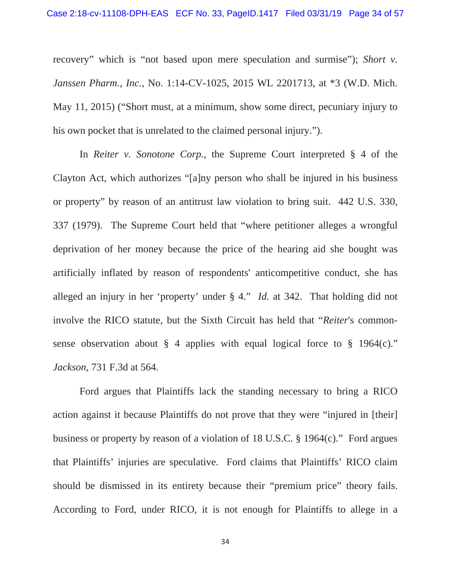recovery" which is "not based upon mere speculation and surmise"); *Short v. Janssen Pharm., Inc.*, No. 1:14-CV-1025, 2015 WL 2201713, at \*3 (W.D. Mich. May 11, 2015) ("Short must, at a minimum, show some direct, pecuniary injury to his own pocket that is unrelated to the claimed personal injury.").

In *Reiter v. Sonotone Corp.*, the Supreme Court interpreted § 4 of the Clayton Act, which authorizes "[a]ny person who shall be injured in his business or property" by reason of an antitrust law violation to bring suit. 442 U.S. 330, 337 (1979). The Supreme Court held that "where petitioner alleges a wrongful deprivation of her money because the price of the hearing aid she bought was artificially inflated by reason of respondents' anticompetitive conduct, she has alleged an injury in her 'property' under § 4." *Id.* at 342. That holding did not involve the RICO statute, but the Sixth Circuit has held that "*Reiter*'s commonsense observation about  $\S$  4 applies with equal logical force to  $\S$  1964(c)." *Jackson*, 731 F.3d at 564.

Ford argues that Plaintiffs lack the standing necessary to bring a RICO action against it because Plaintiffs do not prove that they were "injured in [their] business or property by reason of a violation of 18 U.S.C. § 1964(c)." Ford argues that Plaintiffs' injuries are speculative. Ford claims that Plaintiffs' RICO claim should be dismissed in its entirety because their "premium price" theory fails. According to Ford, under RICO, it is not enough for Plaintiffs to allege in a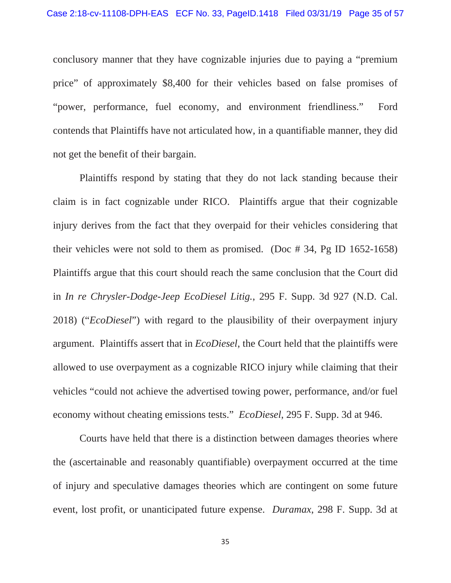conclusory manner that they have cognizable injuries due to paying a "premium price" of approximately \$8,400 for their vehicles based on false promises of "power, performance, fuel economy, and environment friendliness." Ford contends that Plaintiffs have not articulated how, in a quantifiable manner, they did not get the benefit of their bargain.

Plaintiffs respond by stating that they do not lack standing because their claim is in fact cognizable under RICO. Plaintiffs argue that their cognizable injury derives from the fact that they overpaid for their vehicles considering that their vehicles were not sold to them as promised. (Doc # 34, Pg ID 1652-1658) Plaintiffs argue that this court should reach the same conclusion that the Court did in *In re Chrysler-Dodge-Jeep EcoDiesel Litig.*, 295 F. Supp. 3d 927 (N.D. Cal. 2018) ("*EcoDiesel*") with regard to the plausibility of their overpayment injury argument. Plaintiffs assert that in *EcoDiesel*, the Court held that the plaintiffs were allowed to use overpayment as a cognizable RICO injury while claiming that their vehicles "could not achieve the advertised towing power, performance, and/or fuel economy without cheating emissions tests." *EcoDiesel*, 295 F. Supp. 3d at 946.

Courts have held that there is a distinction between damages theories where the (ascertainable and reasonably quantifiable) overpayment occurred at the time of injury and speculative damages theories which are contingent on some future event, lost profit, or unanticipated future expense. *Duramax*, 298 F. Supp. 3d at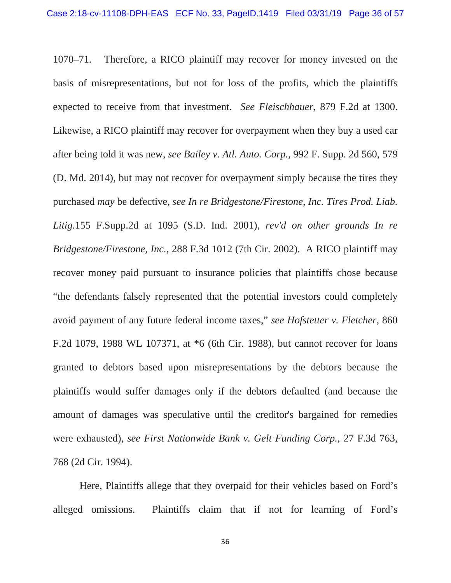1070–71. Therefore, a RICO plaintiff may recover for money invested on the basis of misrepresentations, but not for loss of the profits, which the plaintiffs expected to receive from that investment. *See Fleischhauer*, 879 F.2d at 1300. Likewise, a RICO plaintiff may recover for overpayment when they buy a used car after being told it was new, *see Bailey v. Atl. Auto. Corp.,* 992 F. Supp. 2d 560, 579 (D. Md. 2014), but may not recover for overpayment simply because the tires they purchased *may* be defective, *see In re Bridgestone/Firestone, Inc. Tires Prod. Liab. Litig.*155 F.Supp.2d at 1095 (S.D. Ind. 2001), *rev'd on other grounds In re Bridgestone/Firestone, Inc.*, 288 F.3d 1012 (7th Cir. 2002). A RICO plaintiff may recover money paid pursuant to insurance policies that plaintiffs chose because "the defendants falsely represented that the potential investors could completely avoid payment of any future federal income taxes," *see Hofstetter v. Fletcher*, 860 F.2d 1079, 1988 WL 107371, at \*6 (6th Cir. 1988), but cannot recover for loans granted to debtors based upon misrepresentations by the debtors because the plaintiffs would suffer damages only if the debtors defaulted (and because the amount of damages was speculative until the creditor's bargained for remedies were exhausted), *see First Nationwide Bank v. Gelt Funding Corp.*, 27 F.3d 763, 768 (2d Cir. 1994).

Here, Plaintiffs allege that they overpaid for their vehicles based on Ford's alleged omissions. Plaintiffs claim that if not for learning of Ford's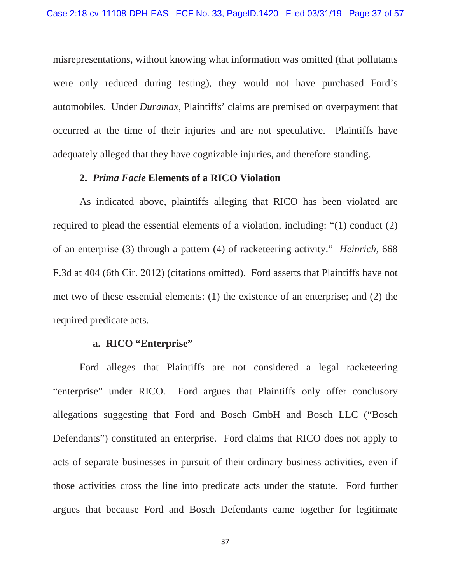misrepresentations, without knowing what information was omitted (that pollutants were only reduced during testing), they would not have purchased Ford's automobiles. Under *Duramax*, Plaintiffs' claims are premised on overpayment that occurred at the time of their injuries and are not speculative. Plaintiffs have adequately alleged that they have cognizable injuries, and therefore standing.

#### **2.** *Prima Facie* **Elements of a RICO Violation**

As indicated above, plaintiffs alleging that RICO has been violated are required to plead the essential elements of a violation, including: "(1) conduct (2) of an enterprise (3) through a pattern (4) of racketeering activity." *Heinrich*, 668 F.3d at 404 (6th Cir. 2012) (citations omitted). Ford asserts that Plaintiffs have not met two of these essential elements: (1) the existence of an enterprise; and (2) the required predicate acts.

# **a. RICO "Enterprise"**

Ford alleges that Plaintiffs are not considered a legal racketeering "enterprise" under RICO. Ford argues that Plaintiffs only offer conclusory allegations suggesting that Ford and Bosch GmbH and Bosch LLC ("Bosch Defendants") constituted an enterprise. Ford claims that RICO does not apply to acts of separate businesses in pursuit of their ordinary business activities, even if those activities cross the line into predicate acts under the statute. Ford further argues that because Ford and Bosch Defendants came together for legitimate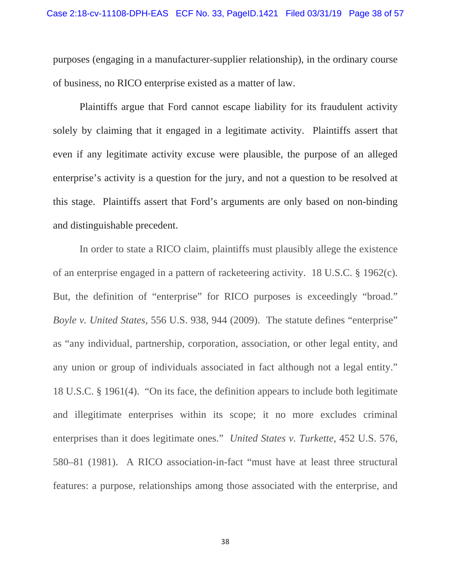purposes (engaging in a manufacturer-supplier relationship), in the ordinary course of business, no RICO enterprise existed as a matter of law.

Plaintiffs argue that Ford cannot escape liability for its fraudulent activity solely by claiming that it engaged in a legitimate activity. Plaintiffs assert that even if any legitimate activity excuse were plausible, the purpose of an alleged enterprise's activity is a question for the jury, and not a question to be resolved at this stage. Plaintiffs assert that Ford's arguments are only based on non-binding and distinguishable precedent.

In order to state a RICO claim, plaintiffs must plausibly allege the existence of an enterprise engaged in a pattern of racketeering activity. 18 U.S.C. § 1962(c). But, the definition of "enterprise" for RICO purposes is exceedingly "broad." *Boyle v. United States*, 556 U.S. 938, 944 (2009). The statute defines "enterprise" as "any individual, partnership, corporation, association, or other legal entity, and any union or group of individuals associated in fact although not a legal entity." 18 U.S.C. § 1961(4). "On its face, the definition appears to include both legitimate and illegitimate enterprises within its scope; it no more excludes criminal enterprises than it does legitimate ones." *United States v. Turkette*, 452 U.S. 576, 580–81 (1981). A RICO association-in-fact "must have at least three structural features: a purpose, relationships among those associated with the enterprise, and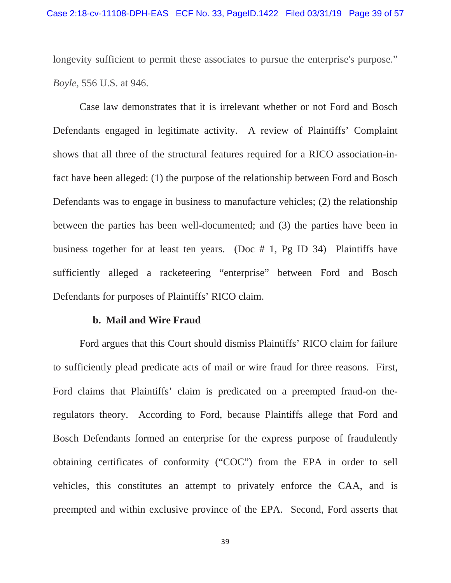longevity sufficient to permit these associates to pursue the enterprise's purpose." *Boyle,* 556 U.S. at 946.

Case law demonstrates that it is irrelevant whether or not Ford and Bosch Defendants engaged in legitimate activity. A review of Plaintiffs' Complaint shows that all three of the structural features required for a RICO association-infact have been alleged: (1) the purpose of the relationship between Ford and Bosch Defendants was to engage in business to manufacture vehicles; (2) the relationship between the parties has been well-documented; and (3) the parties have been in business together for at least ten years. (Doc # 1, Pg ID 34) Plaintiffs have sufficiently alleged a racketeering "enterprise" between Ford and Bosch Defendants for purposes of Plaintiffs' RICO claim.

#### **b. Mail and Wire Fraud**

Ford argues that this Court should dismiss Plaintiffs' RICO claim for failure to sufficiently plead predicate acts of mail or wire fraud for three reasons. First, Ford claims that Plaintiffs' claim is predicated on a preempted fraud-on theregulators theory. According to Ford, because Plaintiffs allege that Ford and Bosch Defendants formed an enterprise for the express purpose of fraudulently obtaining certificates of conformity ("COC") from the EPA in order to sell vehicles, this constitutes an attempt to privately enforce the CAA, and is preempted and within exclusive province of the EPA. Second, Ford asserts that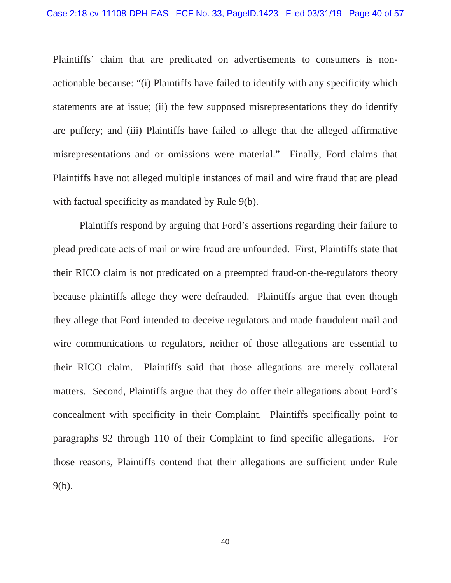Plaintiffs' claim that are predicated on advertisements to consumers is nonactionable because: "(i) Plaintiffs have failed to identify with any specificity which statements are at issue; (ii) the few supposed misrepresentations they do identify are puffery; and (iii) Plaintiffs have failed to allege that the alleged affirmative misrepresentations and or omissions were material." Finally, Ford claims that Plaintiffs have not alleged multiple instances of mail and wire fraud that are plead with factual specificity as mandated by Rule 9(b).

Plaintiffs respond by arguing that Ford's assertions regarding their failure to plead predicate acts of mail or wire fraud are unfounded. First, Plaintiffs state that their RICO claim is not predicated on a preempted fraud-on-the-regulators theory because plaintiffs allege they were defrauded. Plaintiffs argue that even though they allege that Ford intended to deceive regulators and made fraudulent mail and wire communications to regulators, neither of those allegations are essential to their RICO claim. Plaintiffs said that those allegations are merely collateral matters. Second, Plaintiffs argue that they do offer their allegations about Ford's concealment with specificity in their Complaint. Plaintiffs specifically point to paragraphs 92 through 110 of their Complaint to find specific allegations. For those reasons, Plaintiffs contend that their allegations are sufficient under Rule 9(b).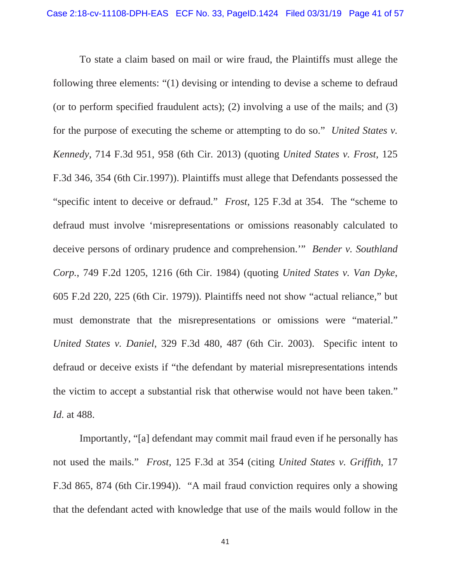To state a claim based on mail or wire fraud, the Plaintiffs must allege the following three elements: "(1) devising or intending to devise a scheme to defraud (or to perform specified fraudulent acts); (2) involving a use of the mails; and (3) for the purpose of executing the scheme or attempting to do so." *United States v. Kennedy*, 714 F.3d 951, 958 (6th Cir. 2013) (quoting *United States v. Frost*, 125 F.3d 346, 354 (6th Cir.1997)). Plaintiffs must allege that Defendants possessed the "specific intent to deceive or defraud." *Frost*, 125 F.3d at 354. The "scheme to defraud must involve 'misrepresentations or omissions reasonably calculated to deceive persons of ordinary prudence and comprehension.'" *Bender v. Southland Corp.*, 749 F.2d 1205, 1216 (6th Cir. 1984) (quoting *United States v. Van Dyke*, 605 F.2d 220, 225 (6th Cir. 1979)). Plaintiffs need not show "actual reliance," but must demonstrate that the misrepresentations or omissions were "material." *United States v. Daniel*, 329 F.3d 480, 487 (6th Cir. 2003). Specific intent to defraud or deceive exists if "the defendant by material misrepresentations intends the victim to accept a substantial risk that otherwise would not have been taken." *Id.* at 488.

Importantly, "[a] defendant may commit mail fraud even if he personally has not used the mails." *Frost*, 125 F.3d at 354 (citing *United States v. Griffith*, 17 F.3d 865, 874 (6th Cir.1994)). "A mail fraud conviction requires only a showing that the defendant acted with knowledge that use of the mails would follow in the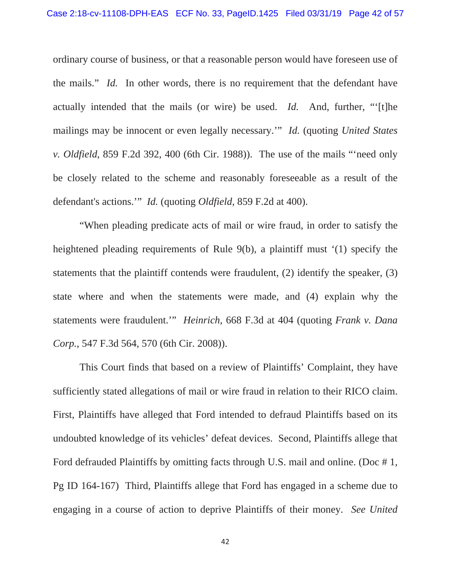ordinary course of business, or that a reasonable person would have foreseen use of the mails." *Id.* In other words, there is no requirement that the defendant have actually intended that the mails (or wire) be used. *Id.* And, further, "'[t]he mailings may be innocent or even legally necessary.'" *Id.* (quoting *United States v. Oldfield*, 859 F.2d 392, 400 (6th Cir. 1988)). The use of the mails "'need only be closely related to the scheme and reasonably foreseeable as a result of the defendant's actions.'" *Id.* (quoting *Oldfield*, 859 F.2d at 400).

"When pleading predicate acts of mail or wire fraud, in order to satisfy the heightened pleading requirements of Rule 9(b), a plaintiff must '(1) specify the statements that the plaintiff contends were fraudulent, (2) identify the speaker, (3) state where and when the statements were made, and (4) explain why the statements were fraudulent.'" *Heinrich*, 668 F.3d at 404 (quoting *Frank v. Dana Corp.*, 547 F.3d 564, 570 (6th Cir. 2008)).

This Court finds that based on a review of Plaintiffs' Complaint, they have sufficiently stated allegations of mail or wire fraud in relation to their RICO claim. First, Plaintiffs have alleged that Ford intended to defraud Plaintiffs based on its undoubted knowledge of its vehicles' defeat devices. Second, Plaintiffs allege that Ford defrauded Plaintiffs by omitting facts through U.S. mail and online. (Doc #1, Pg ID 164-167) Third, Plaintiffs allege that Ford has engaged in a scheme due to engaging in a course of action to deprive Plaintiffs of their money. *See United*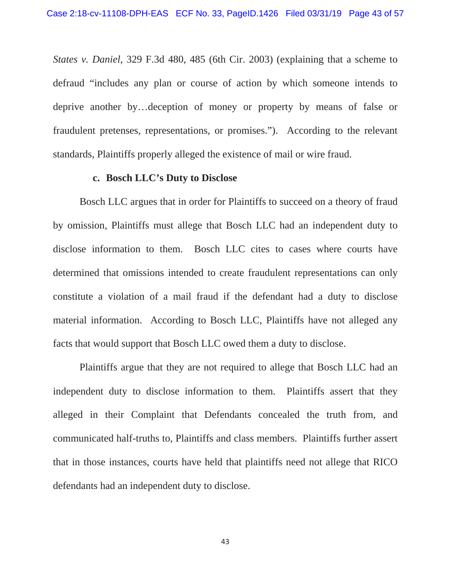*States v. Daniel*, 329 F.3d 480, 485 (6th Cir. 2003) (explaining that a scheme to defraud "includes any plan or course of action by which someone intends to deprive another by…deception of money or property by means of false or fraudulent pretenses, representations, or promises."). According to the relevant standards, Plaintiffs properly alleged the existence of mail or wire fraud.

#### **c. Bosch LLC's Duty to Disclose**

Bosch LLC argues that in order for Plaintiffs to succeed on a theory of fraud by omission, Plaintiffs must allege that Bosch LLC had an independent duty to disclose information to them. Bosch LLC cites to cases where courts have determined that omissions intended to create fraudulent representations can only constitute a violation of a mail fraud if the defendant had a duty to disclose material information. According to Bosch LLC, Plaintiffs have not alleged any facts that would support that Bosch LLC owed them a duty to disclose.

Plaintiffs argue that they are not required to allege that Bosch LLC had an independent duty to disclose information to them. Plaintiffs assert that they alleged in their Complaint that Defendants concealed the truth from, and communicated half-truths to, Plaintiffs and class members. Plaintiffs further assert that in those instances, courts have held that plaintiffs need not allege that RICO defendants had an independent duty to disclose.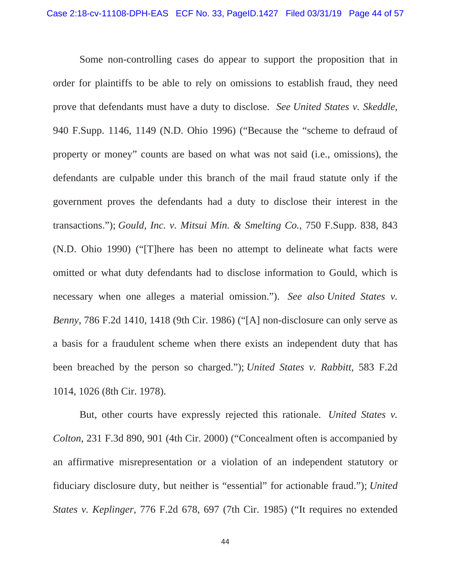Some non-controlling cases do appear to support the proposition that in order for plaintiffs to be able to rely on omissions to establish fraud, they need prove that defendants must have a duty to disclose. *See United States v. Skeddle*, 940 F.Supp. 1146, 1149 (N.D. Ohio 1996) ("Because the "scheme to defraud of property or money" counts are based on what was not said (i.e., omissions), the defendants are culpable under this branch of the mail fraud statute only if the government proves the defendants had a duty to disclose their interest in the transactions."); *Gould, Inc. v. Mitsui Min. & Smelting Co.*, 750 F.Supp. 838, 843 (N.D. Ohio 1990) ("[T]here has been no attempt to delineate what facts were omitted or what duty defendants had to disclose information to Gould, which is necessary when one alleges a material omission."). *See also United States v. Benny*, 786 F.2d 1410, 1418 (9th Cir. 1986) ("[A] non-disclosure can only serve as a basis for a fraudulent scheme when there exists an independent duty that has been breached by the person so charged."); *United States v. Rabbitt*, 583 F.2d 1014, 1026 (8th Cir. 1978).

But, other courts have expressly rejected this rationale. *United States v. Colton*, 231 F.3d 890, 901 (4th Cir. 2000) ("Concealment often is accompanied by an affirmative misrepresentation or a violation of an independent statutory or fiduciary disclosure duty, but neither is "essential" for actionable fraud."); *United States v. Keplinger*, 776 F.2d 678, 697 (7th Cir. 1985) ("It requires no extended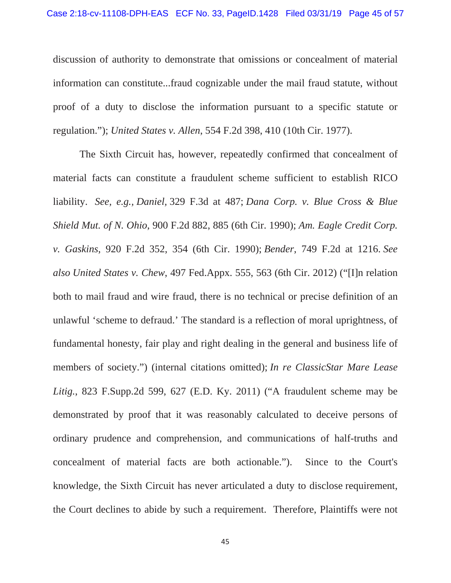discussion of authority to demonstrate that omissions or concealment of material information can constitute...fraud cognizable under the mail fraud statute, without proof of a duty to disclose the information pursuant to a specific statute or regulation."); *United States v. Allen*, 554 F.2d 398, 410 (10th Cir. 1977).

The Sixth Circuit has, however, repeatedly confirmed that concealment of material facts can constitute a fraudulent scheme sufficient to establish RICO liability. *See, e.g., Daniel,* 329 F.3d at 487; *Dana Corp. v. Blue Cross & Blue Shield Mut. of N. Ohio*, 900 F.2d 882, 885 (6th Cir. 1990); *Am. Eagle Credit Corp. v. Gaskins*, 920 F.2d 352, 354 (6th Cir. 1990); *Bender*, 749 F.2d at 1216. *See also United States v. Chew*, 497 Fed.Appx. 555, 563 (6th Cir. 2012) ("[I]n relation both to mail fraud and wire fraud, there is no technical or precise definition of an unlawful 'scheme to defraud.' The standard is a reflection of moral uprightness, of fundamental honesty, fair play and right dealing in the general and business life of members of society.") (internal citations omitted); *In re ClassicStar Mare Lease Litig.*, 823 F.Supp.2d 599, 627 (E.D. Ky. 2011) ("A fraudulent scheme may be demonstrated by proof that it was reasonably calculated to deceive persons of ordinary prudence and comprehension, and communications of half-truths and concealment of material facts are both actionable."). Since to the Court's knowledge, the Sixth Circuit has never articulated a duty to disclose requirement, the Court declines to abide by such a requirement. Therefore, Plaintiffs were not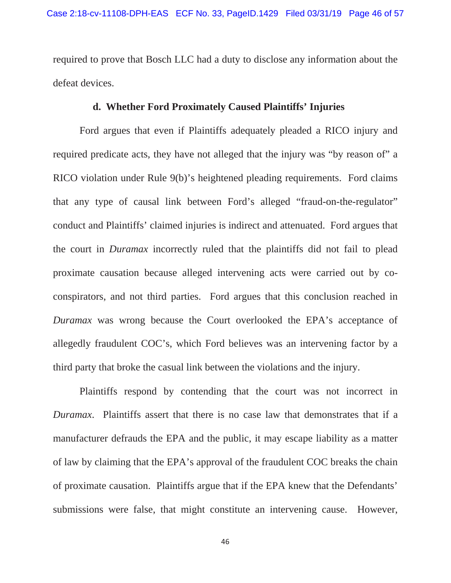required to prove that Bosch LLC had a duty to disclose any information about the defeat devices.

### **d. Whether Ford Proximately Caused Plaintiffs' Injuries**

Ford argues that even if Plaintiffs adequately pleaded a RICO injury and required predicate acts, they have not alleged that the injury was "by reason of" a RICO violation under Rule 9(b)'s heightened pleading requirements. Ford claims that any type of causal link between Ford's alleged "fraud-on-the-regulator" conduct and Plaintiffs' claimed injuries is indirect and attenuated. Ford argues that the court in *Duramax* incorrectly ruled that the plaintiffs did not fail to plead proximate causation because alleged intervening acts were carried out by coconspirators, and not third parties. Ford argues that this conclusion reached in *Duramax* was wrong because the Court overlooked the EPA's acceptance of allegedly fraudulent COC's, which Ford believes was an intervening factor by a third party that broke the casual link between the violations and the injury.

 Plaintiffs respond by contending that the court was not incorrect in *Duramax*. Plaintiffs assert that there is no case law that demonstrates that if a manufacturer defrauds the EPA and the public, it may escape liability as a matter of law by claiming that the EPA's approval of the fraudulent COC breaks the chain of proximate causation. Plaintiffs argue that if the EPA knew that the Defendants' submissions were false, that might constitute an intervening cause. However,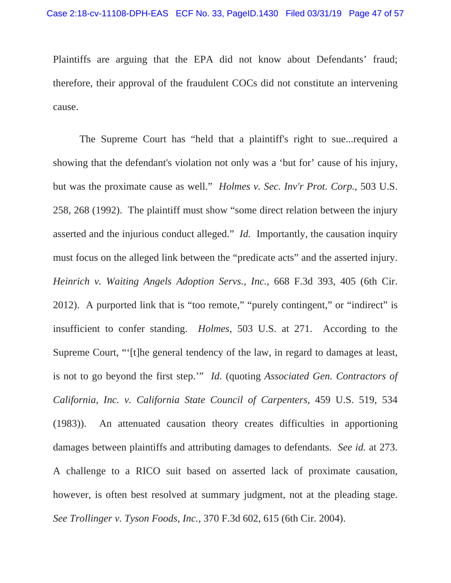Plaintiffs are arguing that the EPA did not know about Defendants' fraud; therefore, their approval of the fraudulent COCs did not constitute an intervening cause.

The Supreme Court has "held that a plaintiff's right to sue...required a showing that the defendant's violation not only was a 'but for' cause of his injury, but was the proximate cause as well." *Holmes v. Sec. Inv'r Prot. Corp.,* 503 U.S. 258, 268 (1992). The plaintiff must show "some direct relation between the injury asserted and the injurious conduct alleged." *Id.* Importantly, the causation inquiry must focus on the alleged link between the "predicate acts" and the asserted injury. *Heinrich v. Waiting Angels Adoption Servs., Inc.*, 668 F.3d 393, 405 (6th Cir. 2012). A purported link that is "too remote," "purely contingent," or "indirect" is insufficient to confer standing. *Holmes*, 503 U.S. at 271. According to the Supreme Court, "'[t]he general tendency of the law, in regard to damages at least, is not to go beyond the first step.'" *Id.* (quoting *Associated Gen. Contractors of California, Inc. v. California State Council of Carpenters*, 459 U.S. 519, 534 (1983)). An attenuated causation theory creates difficulties in apportioning damages between plaintiffs and attributing damages to defendants. *See id.* at 273. A challenge to a RICO suit based on asserted lack of proximate causation, however, is often best resolved at summary judgment, not at the pleading stage. *See Trollinger v. Tyson Foods, Inc.*, 370 F.3d 602, 615 (6th Cir. 2004).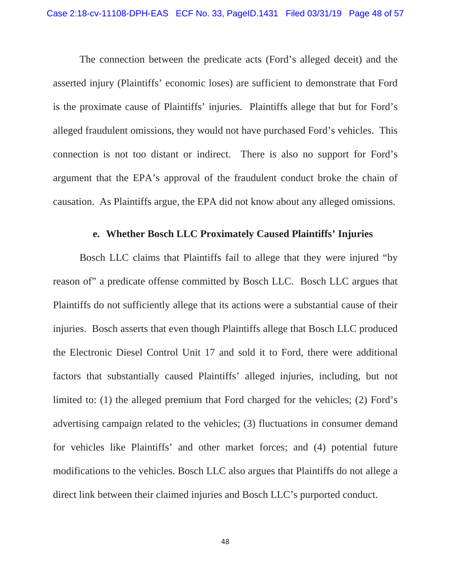The connection between the predicate acts (Ford's alleged deceit) and the asserted injury (Plaintiffs' economic loses) are sufficient to demonstrate that Ford is the proximate cause of Plaintiffs' injuries. Plaintiffs allege that but for Ford's alleged fraudulent omissions, they would not have purchased Ford's vehicles. This connection is not too distant or indirect. There is also no support for Ford's argument that the EPA's approval of the fraudulent conduct broke the chain of causation. As Plaintiffs argue, the EPA did not know about any alleged omissions.

# **e. Whether Bosch LLC Proximately Caused Plaintiffs' Injuries**

Bosch LLC claims that Plaintiffs fail to allege that they were injured "by reason of" a predicate offense committed by Bosch LLC. Bosch LLC argues that Plaintiffs do not sufficiently allege that its actions were a substantial cause of their injuries. Bosch asserts that even though Plaintiffs allege that Bosch LLC produced the Electronic Diesel Control Unit 17 and sold it to Ford, there were additional factors that substantially caused Plaintiffs' alleged injuries, including, but not limited to: (1) the alleged premium that Ford charged for the vehicles; (2) Ford's advertising campaign related to the vehicles; (3) fluctuations in consumer demand for vehicles like Plaintiffs' and other market forces; and (4) potential future modifications to the vehicles. Bosch LLC also argues that Plaintiffs do not allege a direct link between their claimed injuries and Bosch LLC's purported conduct.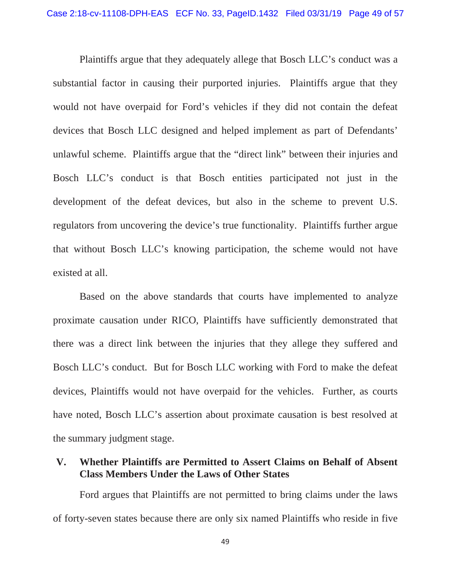Plaintiffs argue that they adequately allege that Bosch LLC's conduct was a substantial factor in causing their purported injuries. Plaintiffs argue that they would not have overpaid for Ford's vehicles if they did not contain the defeat devices that Bosch LLC designed and helped implement as part of Defendants' unlawful scheme. Plaintiffs argue that the "direct link" between their injuries and Bosch LLC's conduct is that Bosch entities participated not just in the development of the defeat devices, but also in the scheme to prevent U.S. regulators from uncovering the device's true functionality. Plaintiffs further argue that without Bosch LLC's knowing participation, the scheme would not have existed at all.

Based on the above standards that courts have implemented to analyze proximate causation under RICO, Plaintiffs have sufficiently demonstrated that there was a direct link between the injuries that they allege they suffered and Bosch LLC's conduct. But for Bosch LLC working with Ford to make the defeat devices, Plaintiffs would not have overpaid for the vehicles. Further, as courts have noted, Bosch LLC's assertion about proximate causation is best resolved at the summary judgment stage.

# **V. Whether Plaintiffs are Permitted to Assert Claims on Behalf of Absent Class Members Under the Laws of Other States**

Ford argues that Plaintiffs are not permitted to bring claims under the laws of forty-seven states because there are only six named Plaintiffs who reside in five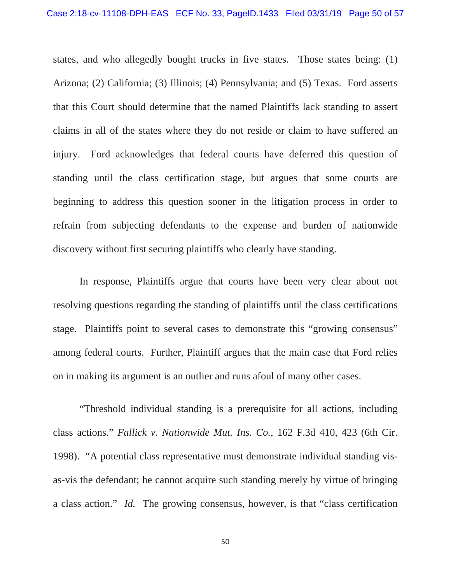states, and who allegedly bought trucks in five states. Those states being: (1) Arizona; (2) California; (3) Illinois; (4) Pennsylvania; and (5) Texas. Ford asserts that this Court should determine that the named Plaintiffs lack standing to assert claims in all of the states where they do not reside or claim to have suffered an injury. Ford acknowledges that federal courts have deferred this question of standing until the class certification stage, but argues that some courts are beginning to address this question sooner in the litigation process in order to refrain from subjecting defendants to the expense and burden of nationwide discovery without first securing plaintiffs who clearly have standing.

In response, Plaintiffs argue that courts have been very clear about not resolving questions regarding the standing of plaintiffs until the class certifications stage. Plaintiffs point to several cases to demonstrate this "growing consensus" among federal courts. Further, Plaintiff argues that the main case that Ford relies on in making its argument is an outlier and runs afoul of many other cases.

"Threshold individual standing is a prerequisite for all actions, including class actions." *Fallick v. Nationwide Mut. Ins. Co.*, 162 F.3d 410, 423 (6th Cir. 1998). "A potential class representative must demonstrate individual standing visas-vis the defendant; he cannot acquire such standing merely by virtue of bringing a class action." *Id.* The growing consensus, however, is that "class certification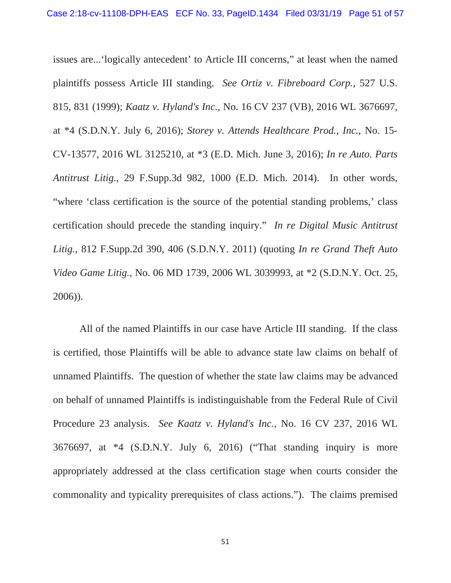issues are...'logically antecedent' to Article III concerns," at least when the named plaintiffs possess Article III standing. *See Ortiz v. Fibreboard Corp.*, 527 U.S. 815, 831 (1999); *Kaatz v. Hyland's Inc.*, No. 16 CV 237 (VB), 2016 WL 3676697, at \*4 (S.D.N.Y. July 6, 2016); *Storey v. Attends Healthcare Prod., Inc.*, No. 15- CV-13577, 2016 WL 3125210, at \*3 (E.D. Mich. June 3, 2016); *In re Auto. Parts Antitrust Litig.*, 29 F.Supp.3d 982, 1000 (E.D. Mich. 2014). In other words, "where 'class certification is the source of the potential standing problems,' class certification should precede the standing inquiry." *In re Digital Music Antitrust Litig.*, 812 F.Supp.2d 390, 406 (S.D.N.Y. 2011) (quoting *In re Grand Theft Auto Video Game Litig.*, No. 06 MD 1739, 2006 WL 3039993, at \*2 (S.D.N.Y. Oct. 25, 2006)).

All of the named Plaintiffs in our case have Article III standing. If the class is certified, those Plaintiffs will be able to advance state law claims on behalf of unnamed Plaintiffs. The question of whether the state law claims may be advanced on behalf of unnamed Plaintiffs is indistinguishable from the Federal Rule of Civil Procedure 23 analysis. *See Kaatz v. Hyland's Inc.,* No. 16 CV 237, 2016 WL 3676697, at \*4 (S.D.N.Y. July 6, 2016) ("That standing inquiry is more appropriately addressed at the class certification stage when courts consider the commonality and typicality prerequisites of class actions."). The claims premised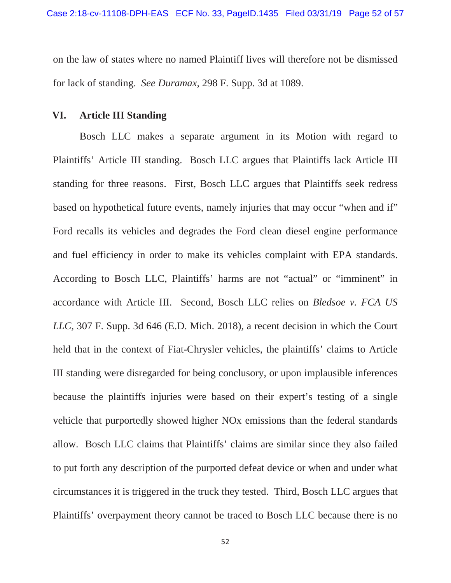on the law of states where no named Plaintiff lives will therefore not be dismissed for lack of standing. *See Duramax*, 298 F. Supp. 3d at 1089.

### **VI. Article III Standing**

Bosch LLC makes a separate argument in its Motion with regard to Plaintiffs' Article III standing. Bosch LLC argues that Plaintiffs lack Article III standing for three reasons. First, Bosch LLC argues that Plaintiffs seek redress based on hypothetical future events, namely injuries that may occur "when and if" Ford recalls its vehicles and degrades the Ford clean diesel engine performance and fuel efficiency in order to make its vehicles complaint with EPA standards. According to Bosch LLC, Plaintiffs' harms are not "actual" or "imminent" in accordance with Article III. Second, Bosch LLC relies on *Bledsoe v. FCA US LLC*, 307 F. Supp. 3d 646 (E.D. Mich. 2018), a recent decision in which the Court held that in the context of Fiat-Chrysler vehicles, the plaintiffs' claims to Article III standing were disregarded for being conclusory, or upon implausible inferences because the plaintiffs injuries were based on their expert's testing of a single vehicle that purportedly showed higher NOx emissions than the federal standards allow. Bosch LLC claims that Plaintiffs' claims are similar since they also failed to put forth any description of the purported defeat device or when and under what circumstances it is triggered in the truck they tested. Third, Bosch LLC argues that Plaintiffs' overpayment theory cannot be traced to Bosch LLC because there is no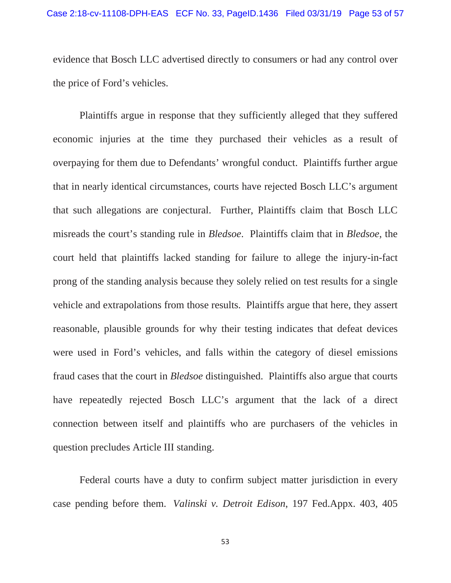evidence that Bosch LLC advertised directly to consumers or had any control over the price of Ford's vehicles.

Plaintiffs argue in response that they sufficiently alleged that they suffered economic injuries at the time they purchased their vehicles as a result of overpaying for them due to Defendants' wrongful conduct. Plaintiffs further argue that in nearly identical circumstances, courts have rejected Bosch LLC's argument that such allegations are conjectural. Further, Plaintiffs claim that Bosch LLC misreads the court's standing rule in *Bledsoe*. Plaintiffs claim that in *Bledsoe*, the court held that plaintiffs lacked standing for failure to allege the injury-in-fact prong of the standing analysis because they solely relied on test results for a single vehicle and extrapolations from those results. Plaintiffs argue that here, they assert reasonable, plausible grounds for why their testing indicates that defeat devices were used in Ford's vehicles, and falls within the category of diesel emissions fraud cases that the court in *Bledsoe* distinguished. Plaintiffs also argue that courts have repeatedly rejected Bosch LLC's argument that the lack of a direct connection between itself and plaintiffs who are purchasers of the vehicles in question precludes Article III standing.

Federal courts have a duty to confirm subject matter jurisdiction in every case pending before them. *Valinski v. Detroit Edison*, 197 Fed.Appx. 403, 405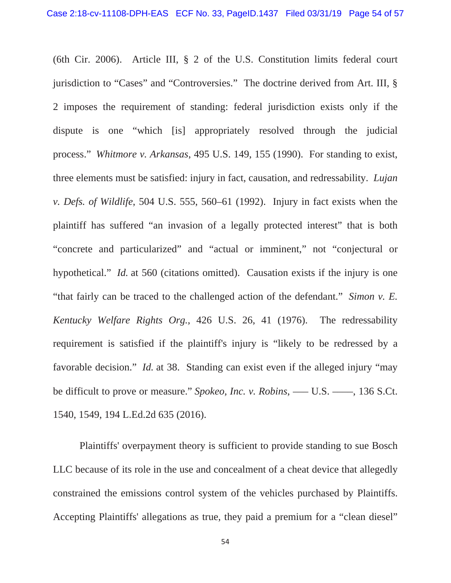(6th Cir. 2006). Article III, § 2 of the U.S. Constitution limits federal court jurisdiction to "Cases" and "Controversies." The doctrine derived from Art. III, § 2 imposes the requirement of standing: federal jurisdiction exists only if the dispute is one "which [is] appropriately resolved through the judicial process." *Whitmore v. Arkansas*, 495 U.S. 149, 155 (1990). For standing to exist, three elements must be satisfied: injury in fact, causation, and redressability. *Lujan v. Defs. of Wildlife*, 504 U.S. 555, 560–61 (1992). Injury in fact exists when the plaintiff has suffered "an invasion of a legally protected interest" that is both "concrete and particularized" and "actual or imminent," not "conjectural or hypothetical." *Id.* at 560 (citations omitted). Causation exists if the injury is one "that fairly can be traced to the challenged action of the defendant." *Simon v. E. Kentucky Welfare Rights Org.*, 426 U.S. 26, 41 (1976). The redressability requirement is satisfied if the plaintiff's injury is "likely to be redressed by a favorable decision." *Id.* at 38. Standing can exist even if the alleged injury "may be difficult to prove or measure." *Spokeo, Inc. v. Robins*, — U.S. — , 136 S.Ct. 1540, 1549, 194 L.Ed.2d 635 (2016).

Plaintiffs' overpayment theory is sufficient to provide standing to sue Bosch LLC because of its role in the use and concealment of a cheat device that allegedly constrained the emissions control system of the vehicles purchased by Plaintiffs. Accepting Plaintiffs' allegations as true, they paid a premium for a "clean diesel"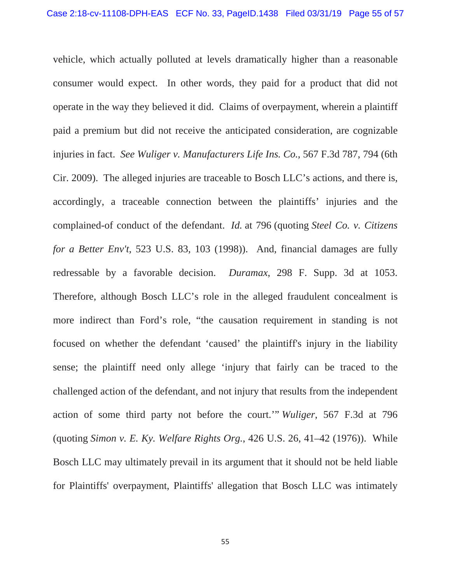vehicle, which actually polluted at levels dramatically higher than a reasonable consumer would expect. In other words, they paid for a product that did not operate in the way they believed it did. Claims of overpayment, wherein a plaintiff paid a premium but did not receive the anticipated consideration, are cognizable injuries in fact. *See Wuliger v. Manufacturers Life Ins. Co.*, 567 F.3d 787, 794 (6th Cir. 2009). The alleged injuries are traceable to Bosch LLC's actions, and there is, accordingly, a traceable connection between the plaintiffs' injuries and the complained-of conduct of the defendant. *Id.* at 796 (quoting *Steel Co. v. Citizens for a Better Env't*, 523 U.S. 83, 103 (1998)). And, financial damages are fully redressable by a favorable decision. *Duramax*, 298 F. Supp. 3d at 1053. Therefore, although Bosch LLC's role in the alleged fraudulent concealment is more indirect than Ford's role, "the causation requirement in standing is not focused on whether the defendant 'caused' the plaintiff's injury in the liability sense; the plaintiff need only allege 'injury that fairly can be traced to the challenged action of the defendant, and not injury that results from the independent action of some third party not before the court.'" *Wuliger*, 567 F.3d at 796 (quoting *Simon v. E. Ky. Welfare Rights Org.*, 426 U.S. 26, 41–42 (1976)). While Bosch LLC may ultimately prevail in its argument that it should not be held liable for Plaintiffs' overpayment, Plaintiffs' allegation that Bosch LLC was intimately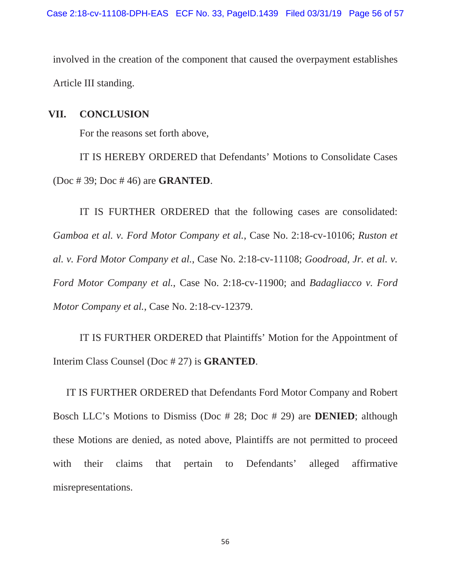involved in the creation of the component that caused the overpayment establishes Article III standing.

# **VII. CONCLUSION**

For the reasons set forth above,

IT IS HEREBY ORDERED that Defendants' Motions to Consolidate Cases (Doc # 39; Doc # 46) are **GRANTED**.

IT IS FURTHER ORDERED that the following cases are consolidated: *Gamboa et al. v. Ford Motor Company et al.*, Case No. 2:18-cv-10106; *Ruston et al. v. Ford Motor Company et al.*, Case No. 2:18-cv-11108; *Goodroad, Jr. et al. v. Ford Motor Company et al.*, Case No. 2:18-cv-11900; and *Badagliacco v. Ford Motor Company et al.*, Case No. 2:18-cv-12379.

IT IS FURTHER ORDERED that Plaintiffs' Motion for the Appointment of Interim Class Counsel (Doc # 27) is **GRANTED**.

IT IS FURTHER ORDERED that Defendants Ford Motor Company and Robert Bosch LLC's Motions to Dismiss (Doc # 28; Doc # 29) are **DENIED**; although these Motions are denied, as noted above, Plaintiffs are not permitted to proceed with their claims that pertain to Defendants' alleged affirmative misrepresentations.